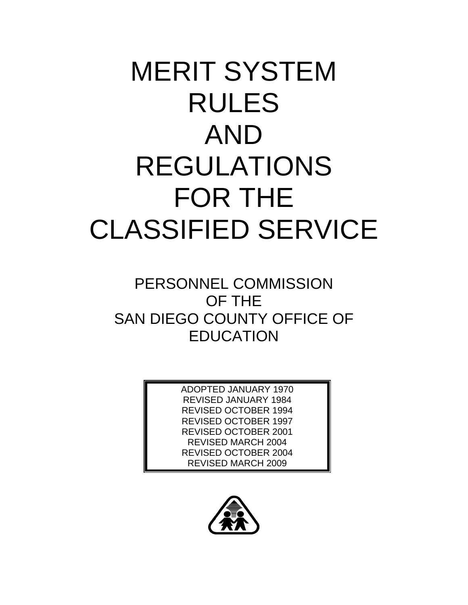# MERIT SYSTEM RULES AND REGULATIONS FOR THE CLASSIFIED SERVICE

# PERSONNEL COMMISSION OF THE SAN DIEGO COUNTY OFFICE OF **EDUCATION**

ADOPTED JANUARY 1970 REVISED JANUARY 1984 REVISED OCTOBER 1994 REVISED OCTOBER 1997 REVISED OCTOBER 2001 REVISED MARCH 2004 REVISED OCTOBER 2004 REVISED MARCH 2009

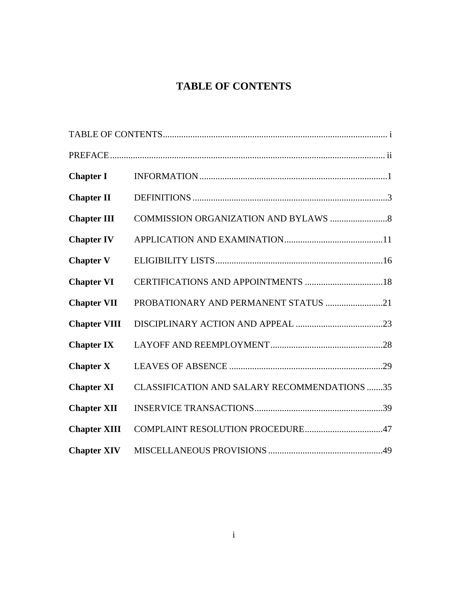# **TABLE OF CONTENTS**

| <b>Chapter I</b>    |                                                     |
|---------------------|-----------------------------------------------------|
| <b>Chapter II</b>   |                                                     |
| <b>Chapter III</b>  |                                                     |
| <b>Chapter IV</b>   |                                                     |
| <b>Chapter V</b>    |                                                     |
| <b>Chapter VI</b>   |                                                     |
| <b>Chapter VII</b>  | PROBATIONARY AND PERMANENT STATUS 21                |
| <b>Chapter VIII</b> |                                                     |
| <b>Chapter IX</b>   |                                                     |
| <b>Chapter X</b>    |                                                     |
| <b>Chapter XI</b>   | <b>CLASSIFICATION AND SALARY RECOMMENDATIONS 35</b> |
| <b>Chapter XII</b>  |                                                     |
| <b>Chapter XIII</b> |                                                     |
| <b>Chapter XIV</b>  |                                                     |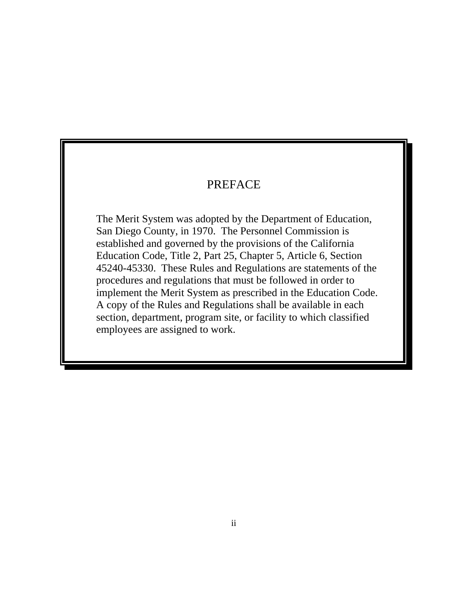# PREFACE

The Merit System was adopted by the Department of Education, San Diego County, in 1970. The Personnel Commission is established and governed by the provisions of the California Education Code, Title 2, Part 25, Chapter 5, Article 6, Section 45240-45330. These Rules and Regulations are statements of the procedures and regulations that must be followed in order to implement the Merit System as prescribed in the Education Code. A copy of the Rules and Regulations shall be available in each section, department, program site, or facility to which classified employees are assigned to work.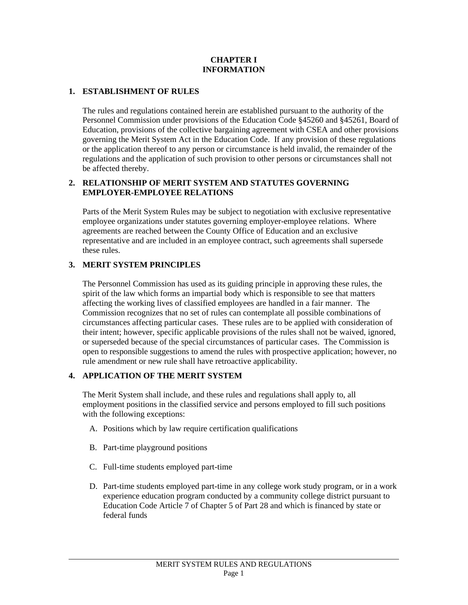#### **CHAPTER I INFORMATION**

#### **1. ESTABLISHMENT OF RULES**

The rules and regulations contained herein are established pursuant to the authority of the Personnel Commission under provisions of the Education Code §45260 and §45261, Board of Education, provisions of the collective bargaining agreement with CSEA and other provisions governing the Merit System Act in the Education Code. If any provision of these regulations or the application thereof to any person or circumstance is held invalid, the remainder of the regulations and the application of such provision to other persons or circumstances shall not be affected thereby.

#### **2. RELATIONSHIP OF MERIT SYSTEM AND STATUTES GOVERNING EMPLOYER-EMPLOYEE RELATIONS**

Parts of the Merit System Rules may be subject to negotiation with exclusive representative employee organizations under statutes governing employer-employee relations. Where agreements are reached between the County Office of Education and an exclusive representative and are included in an employee contract, such agreements shall supersede these rules.

### **3. MERIT SYSTEM PRINCIPLES**

The Personnel Commission has used as its guiding principle in approving these rules, the spirit of the law which forms an impartial body which is responsible to see that matters affecting the working lives of classified employees are handled in a fair manner. The Commission recognizes that no set of rules can contemplate all possible combinations of circumstances affecting particular cases. These rules are to be applied with consideration of their intent; however, specific applicable provisions of the rules shall not be waived, ignored, or superseded because of the special circumstances of particular cases. The Commission is open to responsible suggestions to amend the rules with prospective application; however, no rule amendment or new rule shall have retroactive applicability.

### **4. APPLICATION OF THE MERIT SYSTEM**

The Merit System shall include, and these rules and regulations shall apply to, all employment positions in the classified service and persons employed to fill such positions with the following exceptions:

- A. Positions which by law require certification qualifications
- B. Part-time playground positions

- C. Full-time students employed part-time
- D. Part-time students employed part-time in any college work study program, or in a work experience education program conducted by a community college district pursuant to Education Code Article 7 of Chapter 5 of Part 28 and which is financed by state or federal funds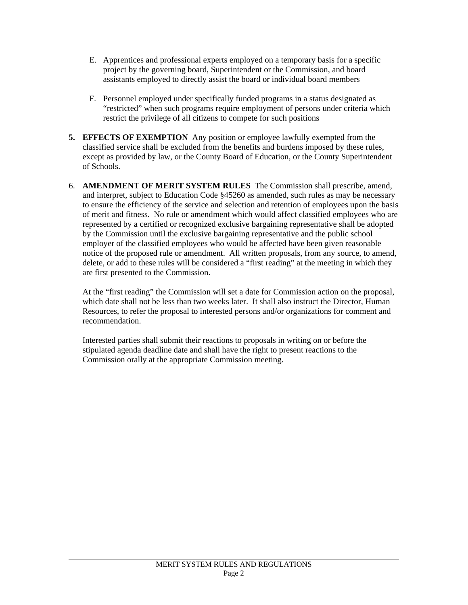- E. Apprentices and professional experts employed on a temporary basis for a specific project by the governing board, Superintendent or the Commission, and board assistants employed to directly assist the board or individual board members
- F. Personnel employed under specifically funded programs in a status designated as "restricted" when such programs require employment of persons under criteria which restrict the privilege of all citizens to compete for such positions
- **5. EFFECTS OF EXEMPTION** Any position or employee lawfully exempted from the classified service shall be excluded from the benefits and burdens imposed by these rules, except as provided by law, or the County Board of Education, or the County Superintendent of Schools.
- 6. **AMENDMENT OF MERIT SYSTEM RULES** The Commission shall prescribe, amend, and interpret, subject to Education Code §45260 as amended, such rules as may be necessary to ensure the efficiency of the service and selection and retention of employees upon the basis of merit and fitness. No rule or amendment which would affect classified employees who are represented by a certified or recognized exclusive bargaining representative shall be adopted by the Commission until the exclusive bargaining representative and the public school employer of the classified employees who would be affected have been given reasonable notice of the proposed rule or amendment. All written proposals, from any source, to amend, delete, or add to these rules will be considered a "first reading" at the meeting in which they are first presented to the Commission.

At the "first reading" the Commission will set a date for Commission action on the proposal, which date shall not be less than two weeks later. It shall also instruct the Director, Human Resources, to refer the proposal to interested persons and/or organizations for comment and recommendation.

 Interested parties shall submit their reactions to proposals in writing on or before the stipulated agenda deadline date and shall have the right to present reactions to the Commission orally at the appropriate Commission meeting.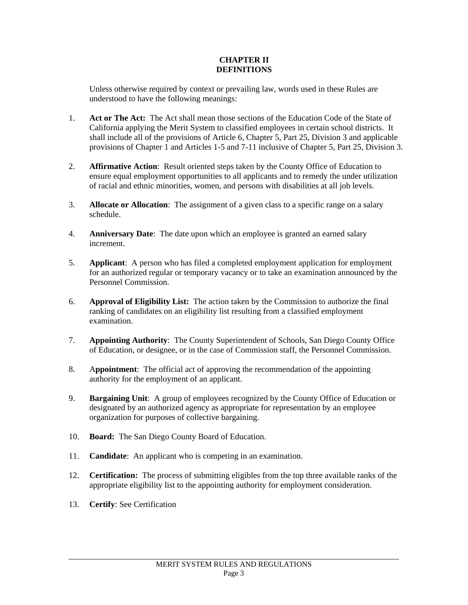#### **CHAPTER II DEFINITIONS**

Unless otherwise required by context or prevailing law, words used in these Rules are understood to have the following meanings:

- 1. **Act or The Act:** The Act shall mean those sections of the Education Code of the State of California applying the Merit System to classified employees in certain school districts. It shall include all of the provisions of Article 6, Chapter 5, Part 25, Division 3 and applicable provisions of Chapter 1 and Articles 1-5 and 7-11 inclusive of Chapter 5, Part 25, Division 3.
- 2. **Affirmative Action**: Result oriented steps taken by the County Office of Education to ensure equal employment opportunities to all applicants and to remedy the under utilization of racial and ethnic minorities, women, and persons with disabilities at all job levels.
- 3. **Allocate or Allocation**: The assignment of a given class to a specific range on a salary schedule.
- 4. **Anniversary Date**: The date upon which an employee is granted an earned salary increment.
- 5. **Applicant**: A person who has filed a completed employment application for employment for an authorized regular or temporary vacancy or to take an examination announced by the Personnel Commission.
- 6. **Approval of Eligibility List:** The action taken by the Commission to authorize the final ranking of candidates on an eligibility list resulting from a classified employment examination.
- 7. **Appointing Authority**: The County Superintendent of Schools, San Diego County Office of Education, or designee, or in the case of Commission staff, the Personnel Commission.
- 8. A**ppointment**: The official act of approving the recommendation of the appointing authority for the employment of an applicant.
- 9. **Bargaining Unit**: A group of employees recognized by the County Office of Education or designated by an authorized agency as appropriate for representation by an employee organization for purposes of collective bargaining.
- 10. **Board:** The San Diego County Board of Education.
- 11. **Candidate**: An applicant who is competing in an examination.
- 12. **Certification:** The process of submitting eligibles from the top three available ranks of the appropriate eligibility list to the appointing authority for employment consideration.
- 13. **Certify**: See Certification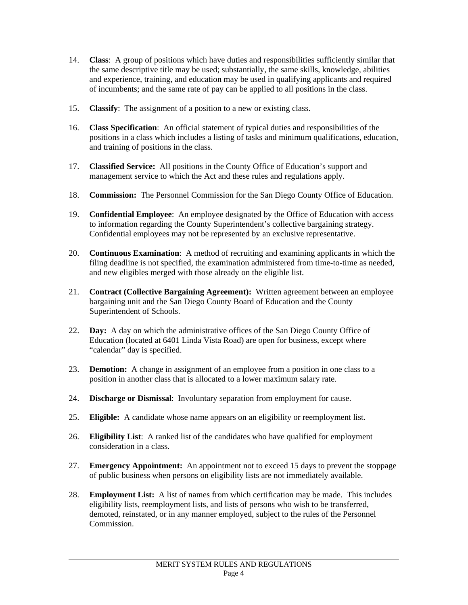- 14. **Class**: A group of positions which have duties and responsibilities sufficiently similar that the same descriptive title may be used; substantially, the same skills, knowledge, abilities and experience, training, and education may be used in qualifying applicants and required of incumbents; and the same rate of pay can be applied to all positions in the class.
- 15. **Classify**: The assignment of a position to a new or existing class.
- 16. **Class Specification**: An official statement of typical duties and responsibilities of the positions in a class which includes a listing of tasks and minimum qualifications, education, and training of positions in the class.
- 17. **Classified Service:** All positions in the County Office of Education's support and management service to which the Act and these rules and regulations apply.
- 18. **Commission:** The Personnel Commission for the San Diego County Office of Education.
- 19. **Confidential Employee**: An employee designated by the Office of Education with access to information regarding the County Superintendent's collective bargaining strategy. Confidential employees may not be represented by an exclusive representative.
- 20. **Continuous Examination**: A method of recruiting and examining applicants in which the filing deadline is not specified, the examination administered from time-to-time as needed, and new eligibles merged with those already on the eligible list.
- 21. **Contract (Collective Bargaining Agreement):** Written agreement between an employee bargaining unit and the San Diego County Board of Education and the County Superintendent of Schools.
- 22. **Day:** A day on which the administrative offices of the San Diego County Office of Education (located at 6401 Linda Vista Road) are open for business, except where "calendar" day is specified.
- 23. **Demotion:** A change in assignment of an employee from a position in one class to a position in another class that is allocated to a lower maximum salary rate.
- 24. **Discharge or Dismissal**: Involuntary separation from employment for cause.
- 25. **Eligible:** A candidate whose name appears on an eligibility or reemployment list.
- 26. **Eligibility List**: A ranked list of the candidates who have qualified for employment consideration in a class.
- 27. **Emergency Appointment:** An appointment not to exceed 15 days to prevent the stoppage of public business when persons on eligibility lists are not immediately available.
- 28. **Employment List:** A list of names from which certification may be made. This includes eligibility lists, reemployment lists, and lists of persons who wish to be transferred, demoted, reinstated, or in any manner employed, subject to the rules of the Personnel Commission.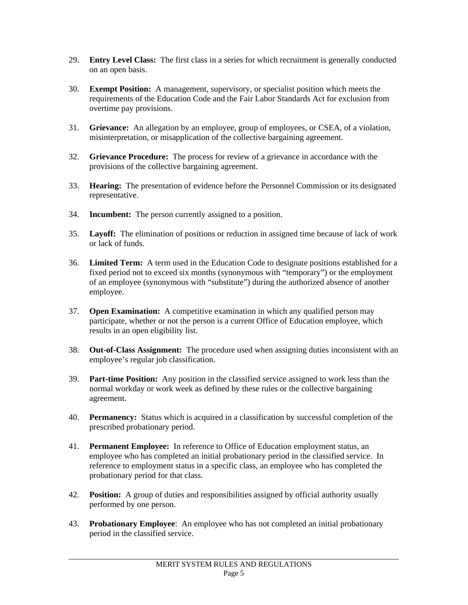- 29. **Entry Level Class:** The first class in a series for which recruitment is generally conducted on an open basis.
- 30. **Exempt Position:** A management, supervisory, or specialist position which meets the requirements of the Education Code and the Fair Labor Standards Act for exclusion from overtime pay provisions.
- 31. **Grievance:** An allegation by an employee, group of employees, or CSEA, of a violation, misinterpretation, or misapplication of the collective bargaining agreement.
- 32. **Grievance Procedure:** The process for review of a grievance in accordance with the provisions of the collective bargaining agreement.
- 33. **Hearing:** The presentation of evidence before the Personnel Commission or its designated representative.
- 34. **Incumbent:** The person currently assigned to a position.
- 35. **Layoff:** The elimination of positions or reduction in assigned time because of lack of work or lack of funds.
- 36. **Limited Term:** A term used in the Education Code to designate positions established for a fixed period not to exceed six months (synonymous with "temporary") or the employment of an employee (synonymous with "substitute") during the authorized absence of another employee.
- 37. **Open Examination:** A competitive examination in which any qualified person may participate, whether or not the person is a current Office of Education employee, which results in an open eligibility list.
- 38. **Out-of-Class Assignment:** The procedure used when assigning duties inconsistent with an employee's regular job classification.
- 39. **Part-time Position:** Any position in the classified service assigned to work less than the normal workday or work week as defined by these rules or the collective bargaining agreement.
- 40. **Permanency:** Status which is acquired in a classification by successful completion of the prescribed probationary period.
- 41. **Permanent Employee:** In reference to Office of Education employment status, an employee who has completed an initial probationary period in the classified service. In reference to employment status in a specific class, an employee who has completed the probationary period for that class.
- 42. **Position:** A group of duties and responsibilities assigned by official authority usually performed by one person.
- 43. **Probationary Employee**: An employee who has not completed an initial probationary period in the classified service.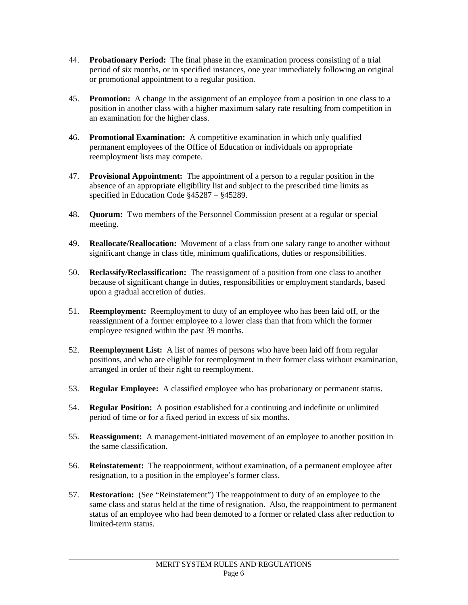- 44. **Probationary Period:** The final phase in the examination process consisting of a trial period of six months, or in specified instances, one year immediately following an original or promotional appointment to a regular position.
- 45. **Promotion:** A change in the assignment of an employee from a position in one class to a position in another class with a higher maximum salary rate resulting from competition in an examination for the higher class.
- 46. **Promotional Examination:** A competitive examination in which only qualified permanent employees of the Office of Education or individuals on appropriate reemployment lists may compete.
- 47. **Provisional Appointment:** The appointment of a person to a regular position in the absence of an appropriate eligibility list and subject to the prescribed time limits as specified in Education Code §45287 – §45289.
- 48. **Quorum:** Two members of the Personnel Commission present at a regular or special meeting.
- 49. **Reallocate/Reallocation:** Movement of a class from one salary range to another without significant change in class title, minimum qualifications, duties or responsibilities.
- 50. **Reclassify/Reclassification:** The reassignment of a position from one class to another because of significant change in duties, responsibilities or employment standards, based upon a gradual accretion of duties.
- 51. **Reemployment:** Reemployment to duty of an employee who has been laid off, or the reassignment of a former employee to a lower class than that from which the former employee resigned within the past 39 months.
- 52. **Reemployment List:** A list of names of persons who have been laid off from regular positions, and who are eligible for reemployment in their former class without examination, arranged in order of their right to reemployment.
- 53. **Regular Employee:** A classified employee who has probationary or permanent status.
- 54. **Regular Position:** A position established for a continuing and indefinite or unlimited period of time or for a fixed period in excess of six months.
- 55. **Reassignment:** A management-initiated movement of an employee to another position in the same classification.
- 56. **Reinstatement:** The reappointment, without examination, of a permanent employee after resignation, to a position in the employee's former class.
- 57. **Restoration:** (See "Reinstatement") The reappointment to duty of an employee to the same class and status held at the time of resignation. Also, the reappointment to permanent status of an employee who had been demoted to a former or related class after reduction to limited-term status.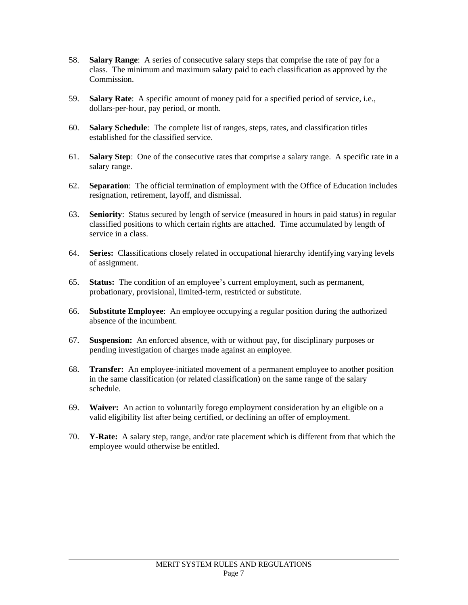- 58. **Salary Range**: A series of consecutive salary steps that comprise the rate of pay for a class. The minimum and maximum salary paid to each classification as approved by the Commission.
- 59. **Salary Rate**: A specific amount of money paid for a specified period of service, i.e., dollars-per-hour, pay period, or month.
- 60. **Salary Schedule**: The complete list of ranges, steps, rates, and classification titles established for the classified service.
- 61. **Salary Step**: One of the consecutive rates that comprise a salary range. A specific rate in a salary range.
- 62. **Separation**: The official termination of employment with the Office of Education includes resignation, retirement, layoff, and dismissal.
- 63. **Seniority**: Status secured by length of service (measured in hours in paid status) in regular classified positions to which certain rights are attached. Time accumulated by length of service in a class.
- 64. **Series:** Classifications closely related in occupational hierarchy identifying varying levels of assignment.
- 65. **Status:** The condition of an employee's current employment, such as permanent, probationary, provisional, limited-term, restricted or substitute.
- 66. **Substitute Employee**: An employee occupying a regular position during the authorized absence of the incumbent.
- 67. **Suspension:** An enforced absence, with or without pay, for disciplinary purposes or pending investigation of charges made against an employee.
- 68. **Transfer:** An employee-initiated movement of a permanent employee to another position in the same classification (or related classification) on the same range of the salary schedule.
- 69. **Waiver:** An action to voluntarily forego employment consideration by an eligible on a valid eligibility list after being certified, or declining an offer of employment.
- 70. **Y-Rate:** A salary step, range, and/or rate placement which is different from that which the employee would otherwise be entitled.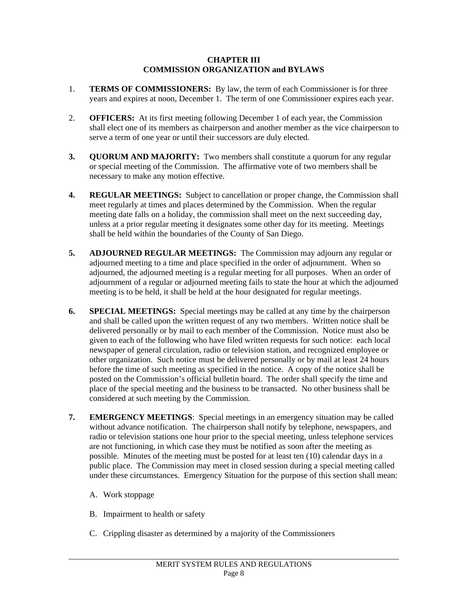#### **CHAPTER III COMMISSION ORGANIZATION and BYLAWS**

- 1. **TERMS OF COMMISSIONERS:** By law, the term of each Commissioner is for three years and expires at noon, December 1. The term of one Commissioner expires each year.
- 2. **OFFICERS:** At its first meeting following December 1 of each year, the Commission shall elect one of its members as chairperson and another member as the vice chairperson to serve a term of one year or until their successors are duly elected.
- **3. QUORUM AND MAJORITY:** Two members shall constitute a quorum for any regular or special meeting of the Commission. The affirmative vote of two members shall be necessary to make any motion effective.
- **4. REGULAR MEETINGS:** Subject to cancellation or proper change, the Commission shall meet regularly at times and places determined by the Commission. When the regular meeting date falls on a holiday, the commission shall meet on the next succeeding day, unless at a prior regular meeting it designates some other day for its meeting. Meetings shall be held within the boundaries of the County of San Diego.
- **5. ADJOURNED REGULAR MEETINGS:** The Commission may adjourn any regular or adjourned meeting to a time and place specified in the order of adjournment. When so adjourned, the adjourned meeting is a regular meeting for all purposes. When an order of adjournment of a regular or adjourned meeting fails to state the hour at which the adjourned meeting is to be held, it shall be held at the hour designated for regular meetings.
- **6. SPECIAL MEETINGS:** Special meetings may be called at any time by the chairperson and shall be called upon the written request of any two members. Written notice shall be delivered personally or by mail to each member of the Commission. Notice must also be given to each of the following who have filed written requests for such notice: each local newspaper of general circulation, radio or television station, and recognized employee or other organization. Such notice must be delivered personally or by mail at least 24 hours before the time of such meeting as specified in the notice. A copy of the notice shall be posted on the Commission's official bulletin board. The order shall specify the time and place of the special meeting and the business to be transacted. No other business shall be considered at such meeting by the Commission.
- **7. EMERGENCY MEETINGS**: Special meetings in an emergency situation may be called without advance notification. The chairperson shall notify by telephone, newspapers, and radio or television stations one hour prior to the special meeting, unless telephone services are not functioning, in which case they must be notified as soon after the meeting as possible. Minutes of the meeting must be posted for at least ten (10) calendar days in a public place. The Commission may meet in closed session during a special meeting called under these circumstances. Emergency Situation for the purpose of this section shall mean:
	- A. Work stoppage

- B. Impairment to health or safety
- C. Crippling disaster as determined by a majority of the Commissioners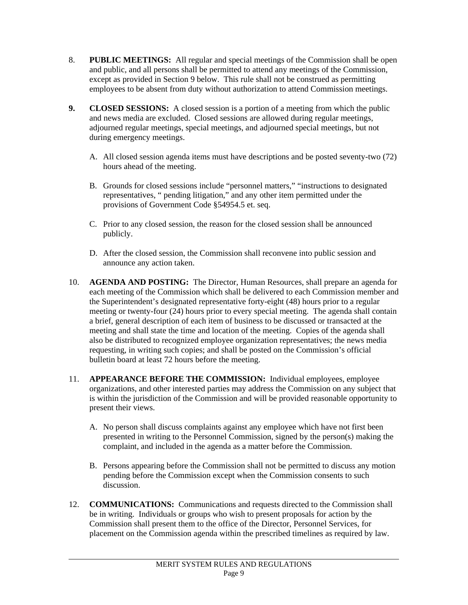- 8. **PUBLIC MEETINGS:** All regular and special meetings of the Commission shall be open and public, and all persons shall be permitted to attend any meetings of the Commission, except as provided in Section 9 below. This rule shall not be construed as permitting employees to be absent from duty without authorization to attend Commission meetings.
- **9. CLOSED SESSIONS:** A closed session is a portion of a meeting from which the public and news media are excluded. Closed sessions are allowed during regular meetings, adjourned regular meetings, special meetings, and adjourned special meetings, but not during emergency meetings.
	- A. All closed session agenda items must have descriptions and be posted seventy-two (72) hours ahead of the meeting.
	- B. Grounds for closed sessions include "personnel matters," "instructions to designated representatives, " pending litigation," and any other item permitted under the provisions of Government Code §54954.5 et. seq.
	- C. Prior to any closed session, the reason for the closed session shall be announced publicly.
	- D. After the closed session, the Commission shall reconvene into public session and announce any action taken.
- 10. **AGENDA AND POSTING:** The Director, Human Resources, shall prepare an agenda for each meeting of the Commission which shall be delivered to each Commission member and the Superintendent's designated representative forty-eight (48) hours prior to a regular meeting or twenty-four (24) hours prior to every special meeting. The agenda shall contain a brief, general description of each item of business to be discussed or transacted at the meeting and shall state the time and location of the meeting. Copies of the agenda shall also be distributed to recognized employee organization representatives; the news media requesting, in writing such copies; and shall be posted on the Commission's official bulletin board at least 72 hours before the meeting.
- 11. **APPEARANCE BEFORE THE COMMISSION:** Individual employees, employee organizations, and other interested parties may address the Commission on any subject that is within the jurisdiction of the Commission and will be provided reasonable opportunity to present their views.
	- A. No person shall discuss complaints against any employee which have not first been presented in writing to the Personnel Commission, signed by the person(s) making the complaint, and included in the agenda as a matter before the Commission.
	- B. Persons appearing before the Commission shall not be permitted to discuss any motion pending before the Commission except when the Commission consents to such discussion.
- 12. **COMMUNICATIONS:** Communications and requests directed to the Commission shall be in writing. Individuals or groups who wish to present proposals for action by the Commission shall present them to the office of the Director, Personnel Services, for placement on the Commission agenda within the prescribed timelines as required by law.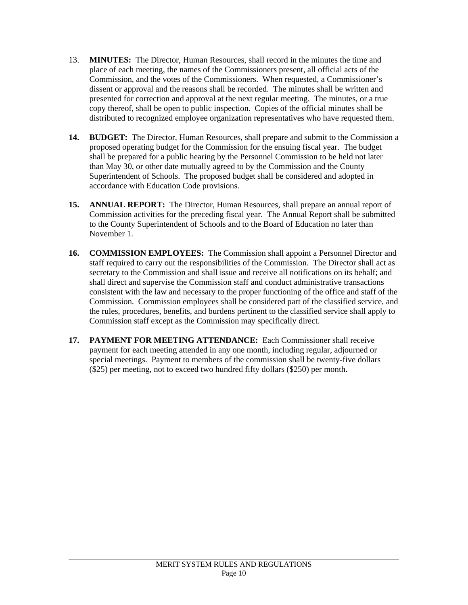- 13. **MINUTES:** The Director, Human Resources, shall record in the minutes the time and place of each meeting, the names of the Commissioners present, all official acts of the Commission, and the votes of the Commissioners. When requested, a Commissioner's dissent or approval and the reasons shall be recorded. The minutes shall be written and presented for correction and approval at the next regular meeting. The minutes, or a true copy thereof, shall be open to public inspection. Copies of the official minutes shall be distributed to recognized employee organization representatives who have requested them.
- **14. BUDGET:** The Director, Human Resources, shall prepare and submit to the Commission a proposed operating budget for the Commission for the ensuing fiscal year. The budget shall be prepared for a public hearing by the Personnel Commission to be held not later than May 30, or other date mutually agreed to by the Commission and the County Superintendent of Schools. The proposed budget shall be considered and adopted in accordance with Education Code provisions.
- **15. ANNUAL REPORT:** The Director, Human Resources, shall prepare an annual report of Commission activities for the preceding fiscal year. The Annual Report shall be submitted to the County Superintendent of Schools and to the Board of Education no later than November 1.
- **16. COMMISSION EMPLOYEES:** The Commission shall appoint a Personnel Director and staff required to carry out the responsibilities of the Commission. The Director shall act as secretary to the Commission and shall issue and receive all notifications on its behalf; and shall direct and supervise the Commission staff and conduct administrative transactions consistent with the law and necessary to the proper functioning of the office and staff of the Commission. Commission employees shall be considered part of the classified service, and the rules, procedures, benefits, and burdens pertinent to the classified service shall apply to Commission staff except as the Commission may specifically direct.
- **17. PAYMENT FOR MEETING ATTENDANCE:** Each Commissioner shall receive payment for each meeting attended in any one month, including regular, adjourned or special meetings. Payment to members of the commission shall be twenty-five dollars (\$25) per meeting, not to exceed two hundred fifty dollars (\$250) per month.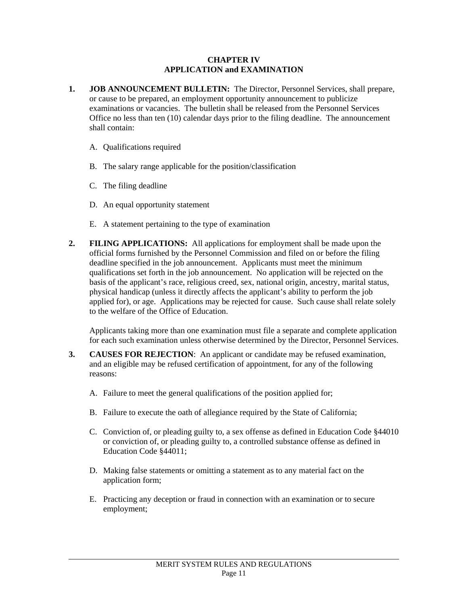#### **CHAPTER IV APPLICATION and EXAMINATION**

- **1. JOB ANNOUNCEMENT BULLETIN:** The Director, Personnel Services, shall prepare, or cause to be prepared, an employment opportunity announcement to publicize examinations or vacancies. The bulletin shall be released from the Personnel Services Office no less than ten (10) calendar days prior to the filing deadline. The announcement shall contain:
	- A. Qualifications required
	- B. The salary range applicable for the position/classification
	- C. The filing deadline

l

- D. An equal opportunity statement
- E. A statement pertaining to the type of examination
- **2. FILING APPLICATIONS:** All applications for employment shall be made upon the official forms furnished by the Personnel Commission and filed on or before the filing deadline specified in the job announcement. Applicants must meet the minimum qualifications set forth in the job announcement. No application will be rejected on the basis of the applicant's race, religious creed, sex, national origin, ancestry, marital status, physical handicap (unless it directly affects the applicant's ability to perform the job applied for), or age. Applications may be rejected for cause. Such cause shall relate solely to the welfare of the Office of Education.

Applicants taking more than one examination must file a separate and complete application for each such examination unless otherwise determined by the Director, Personnel Services.

- **3. CAUSES FOR REJECTION**: An applicant or candidate may be refused examination, and an eligible may be refused certification of appointment, for any of the following reasons:
	- A. Failure to meet the general qualifications of the position applied for;
	- B. Failure to execute the oath of allegiance required by the State of California;
	- C. Conviction of, or pleading guilty to, a sex offense as defined in Education Code §44010 or conviction of, or pleading guilty to, a controlled substance offense as defined in Education Code §44011;
	- D. Making false statements or omitting a statement as to any material fact on the application form;
	- E. Practicing any deception or fraud in connection with an examination or to secure employment;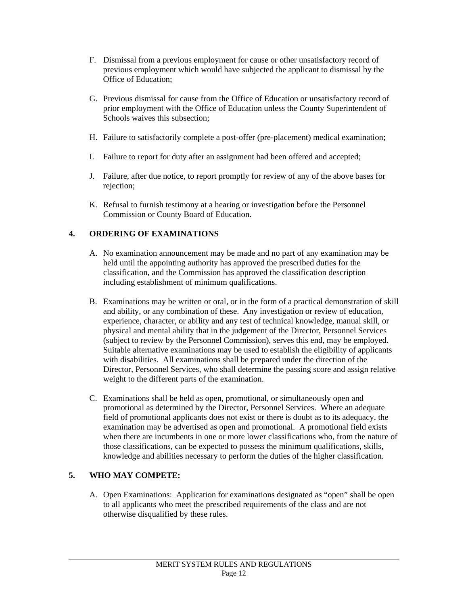- F. Dismissal from a previous employment for cause or other unsatisfactory record of previous employment which would have subjected the applicant to dismissal by the Office of Education;
- G. Previous dismissal for cause from the Office of Education or unsatisfactory record of prior employment with the Office of Education unless the County Superintendent of Schools waives this subsection;
- H. Failure to satisfactorily complete a post-offer (pre-placement) medical examination;
- I. Failure to report for duty after an assignment had been offered and accepted;
- J. Failure, after due notice, to report promptly for review of any of the above bases for rejection;
- K. Refusal to furnish testimony at a hearing or investigation before the Personnel Commission or County Board of Education.

# **4. ORDERING OF EXAMINATIONS**

- A. No examination announcement may be made and no part of any examination may be held until the appointing authority has approved the prescribed duties for the classification, and the Commission has approved the classification description including establishment of minimum qualifications.
- B. Examinations may be written or oral, or in the form of a practical demonstration of skill and ability, or any combination of these. Any investigation or review of education, experience, character, or ability and any test of technical knowledge, manual skill, or physical and mental ability that in the judgement of the Director, Personnel Services (subject to review by the Personnel Commission), serves this end, may be employed. Suitable alternative examinations may be used to establish the eligibility of applicants with disabilities. All examinations shall be prepared under the direction of the Director, Personnel Services, who shall determine the passing score and assign relative weight to the different parts of the examination.
- C. Examinations shall be held as open, promotional, or simultaneously open and promotional as determined by the Director, Personnel Services. Where an adequate field of promotional applicants does not exist or there is doubt as to its adequacy, the examination may be advertised as open and promotional. A promotional field exists when there are incumbents in one or more lower classifications who, from the nature of those classifications, can be expected to possess the minimum qualifications, skills, knowledge and abilities necessary to perform the duties of the higher classification.

# **5. WHO MAY COMPETE:**

l

A. Open Examinations: Application for examinations designated as "open" shall be open to all applicants who meet the prescribed requirements of the class and are not otherwise disqualified by these rules.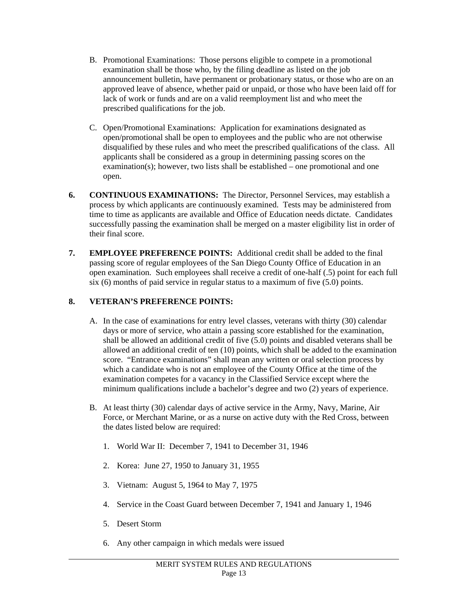- B. Promotional Examinations: Those persons eligible to compete in a promotional examination shall be those who, by the filing deadline as listed on the job announcement bulletin, have permanent or probationary status, or those who are on an approved leave of absence, whether paid or unpaid, or those who have been laid off for lack of work or funds and are on a valid reemployment list and who meet the prescribed qualifications for the job.
- C. Open/Promotional Examinations: Application for examinations designated as open/promotional shall be open to employees and the public who are not otherwise disqualified by these rules and who meet the prescribed qualifications of the class. All applicants shall be considered as a group in determining passing scores on the examination(s); however, two lists shall be established – one promotional and one open.
- **6. CONTINUOUS EXAMINATIONS:** The Director, Personnel Services, may establish a process by which applicants are continuously examined. Tests may be administered from time to time as applicants are available and Office of Education needs dictate. Candidates successfully passing the examination shall be merged on a master eligibility list in order of their final score.
- **7. EMPLOYEE PREFERENCE POINTS:** Additional credit shall be added to the final passing score of regular employees of the San Diego County Office of Education in an open examination. Such employees shall receive a credit of one-half (.5) point for each full six (6) months of paid service in regular status to a maximum of five  $(5.0)$  points.

# **8. VETERAN'S PREFERENCE POINTS:**

- A. In the case of examinations for entry level classes, veterans with thirty (30) calendar days or more of service, who attain a passing score established for the examination, shall be allowed an additional credit of five (5.0) points and disabled veterans shall be allowed an additional credit of ten (10) points, which shall be added to the examination score. "Entrance examinations" shall mean any written or oral selection process by which a candidate who is not an employee of the County Office at the time of the examination competes for a vacancy in the Classified Service except where the minimum qualifications include a bachelor's degree and two (2) years of experience.
- B. At least thirty (30) calendar days of active service in the Army, Navy, Marine, Air Force, or Merchant Marine, or as a nurse on active duty with the Red Cross, between the dates listed below are required:
	- 1. World War II: December 7, 1941 to December 31, 1946
	- 2. Korea: June 27, 1950 to January 31, 1955
	- 3. Vietnam: August 5, 1964 to May 7, 1975
	- 4. Service in the Coast Guard between December 7, 1941 and January 1, 1946
	- 5. Desert Storm

l

6. Any other campaign in which medals were issued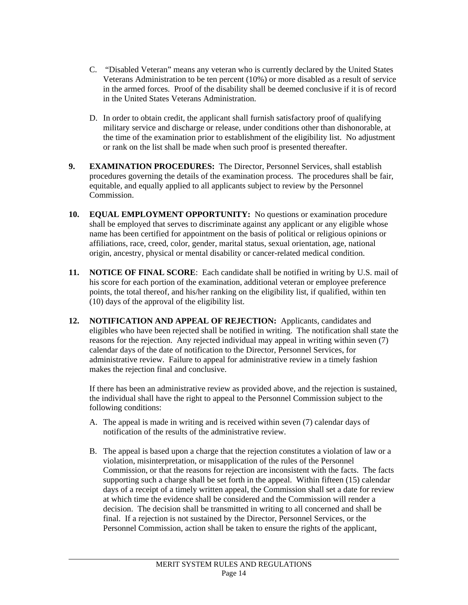- C. "Disabled Veteran" means any veteran who is currently declared by the United States Veterans Administration to be ten percent (10%) or more disabled as a result of service in the armed forces. Proof of the disability shall be deemed conclusive if it is of record in the United States Veterans Administration.
- D. In order to obtain credit, the applicant shall furnish satisfactory proof of qualifying military service and discharge or release, under conditions other than dishonorable, at the time of the examination prior to establishment of the eligibility list. No adjustment or rank on the list shall be made when such proof is presented thereafter.
- **9. EXAMINATION PROCEDURES:** The Director, Personnel Services, shall establish procedures governing the details of the examination process. The procedures shall be fair, equitable, and equally applied to all applicants subject to review by the Personnel Commission.
- **10. EQUAL EMPLOYMENT OPPORTUNITY:** No questions or examination procedure shall be employed that serves to discriminate against any applicant or any eligible whose name has been certified for appointment on the basis of political or religious opinions or affiliations, race, creed, color, gender, marital status, sexual orientation, age, national origin, ancestry, physical or mental disability or cancer-related medical condition.
- **11. NOTICE OF FINAL SCORE**: Each candidate shall be notified in writing by U.S. mail of his score for each portion of the examination, additional veteran or employee preference points, the total thereof, and his/her ranking on the eligibility list, if qualified, within ten (10) days of the approval of the eligibility list.
- **12. NOTIFICATION AND APPEAL OF REJECTION:** Applicants, candidates and eligibles who have been rejected shall be notified in writing. The notification shall state the reasons for the rejection. Any rejected individual may appeal in writing within seven (7) calendar days of the date of notification to the Director, Personnel Services, for administrative review. Failure to appeal for administrative review in a timely fashion makes the rejection final and conclusive.

If there has been an administrative review as provided above, and the rejection is sustained, the individual shall have the right to appeal to the Personnel Commission subject to the following conditions:

- A. The appeal is made in writing and is received within seven (7) calendar days of notification of the results of the administrative review.
- B. The appeal is based upon a charge that the rejection constitutes a violation of law or a violation, misinterpretation, or misapplication of the rules of the Personnel Commission, or that the reasons for rejection are inconsistent with the facts. The facts supporting such a charge shall be set forth in the appeal. Within fifteen (15) calendar days of a receipt of a timely written appeal, the Commission shall set a date for review at which time the evidence shall be considered and the Commission will render a decision. The decision shall be transmitted in writing to all concerned and shall be final. If a rejection is not sustained by the Director, Personnel Services, or the Personnel Commission, action shall be taken to ensure the rights of the applicant,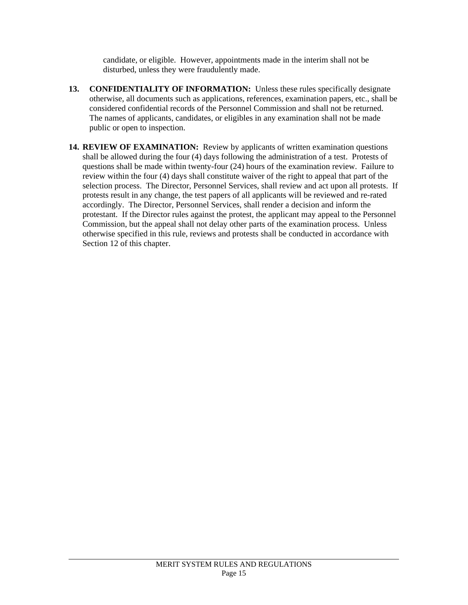candidate, or eligible. However, appointments made in the interim shall not be disturbed, unless they were fraudulently made.

- **13. CONFIDENTIALITY OF INFORMATION:** Unless these rules specifically designate otherwise, all documents such as applications, references, examination papers, etc., shall be considered confidential records of the Personnel Commission and shall not be returned. The names of applicants, candidates, or eligibles in any examination shall not be made public or open to inspection.
- **14. REVIEW OF EXAMINATION:** Review by applicants of written examination questions shall be allowed during the four (4) days following the administration of a test. Protests of questions shall be made within twenty-four (24) hours of the examination review. Failure to review within the four (4) days shall constitute waiver of the right to appeal that part of the selection process. The Director, Personnel Services, shall review and act upon all protests. If protests result in any change, the test papers of all applicants will be reviewed and re-rated accordingly. The Director, Personnel Services, shall render a decision and inform the protestant. If the Director rules against the protest, the applicant may appeal to the Personnel Commission, but the appeal shall not delay other parts of the examination process. Unless otherwise specified in this rule, reviews and protests shall be conducted in accordance with Section 12 of this chapter.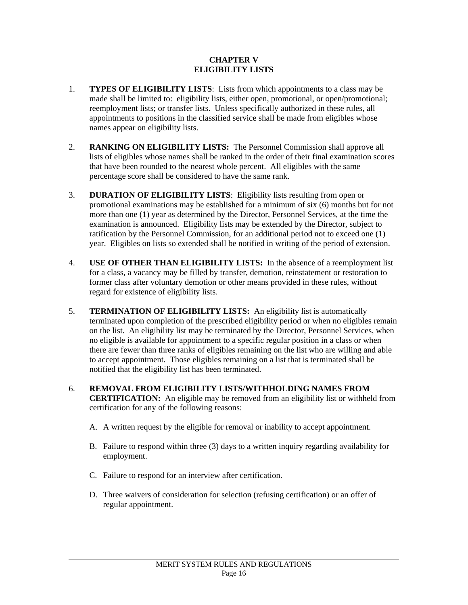#### **CHAPTER V ELIGIBILITY LISTS**

- 1. **TYPES OF ELIGIBILITY LISTS**: Lists from which appointments to a class may be made shall be limited to: eligibility lists, either open, promotional, or open/promotional; reemployment lists; or transfer lists. Unless specifically authorized in these rules, all appointments to positions in the classified service shall be made from eligibles whose names appear on eligibility lists.
- 2. **RANKING ON ELIGIBILITY LISTS:** The Personnel Commission shall approve all lists of eligibles whose names shall be ranked in the order of their final examination scores that have been rounded to the nearest whole percent. All eligibles with the same percentage score shall be considered to have the same rank.
- 3. **DURATION OF ELIGIBILITY LISTS**: Eligibility lists resulting from open or promotional examinations may be established for a minimum of six (6) months but for not more than one (1) year as determined by the Director, Personnel Services, at the time the examination is announced. Eligibility lists may be extended by the Director, subject to ratification by the Personnel Commission, for an additional period not to exceed one (1) year. Eligibles on lists so extended shall be notified in writing of the period of extension.
- 4. **USE OF OTHER THAN ELIGIBILITY LISTS:** In the absence of a reemployment list for a class, a vacancy may be filled by transfer, demotion, reinstatement or restoration to former class after voluntary demotion or other means provided in these rules, without regard for existence of eligibility lists.
- 5. **TERMINATION OF ELIGIBILITY LISTS:** An eligibility list is automatically terminated upon completion of the prescribed eligibility period or when no eligibles remain on the list. An eligibility list may be terminated by the Director, Personnel Services, when no eligible is available for appointment to a specific regular position in a class or when there are fewer than three ranks of eligibles remaining on the list who are willing and able to accept appointment. Those eligibles remaining on a list that is terminated shall be notified that the eligibility list has been terminated.
- 6. **REMOVAL FROM ELIGIBILITY LISTS/WITHHOLDING NAMES FROM CERTIFICATION:** An eligible may be removed from an eligibility list or withheld from certification for any of the following reasons:
	- A. A written request by the eligible for removal or inability to accept appointment.
	- B. Failure to respond within three (3) days to a written inquiry regarding availability for employment.
	- C. Failure to respond for an interview after certification.

l

D. Three waivers of consideration for selection (refusing certification) or an offer of regular appointment.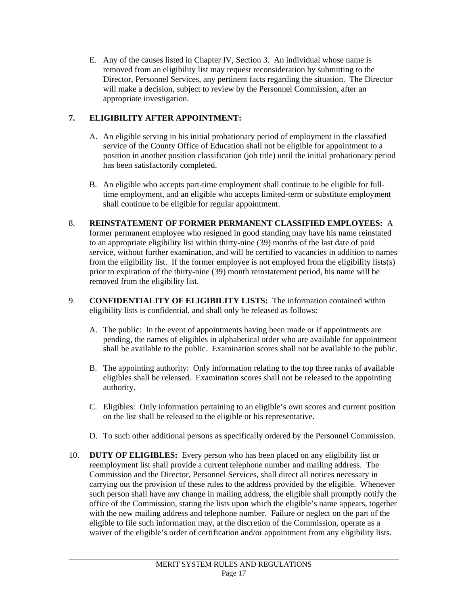E. Any of the causes listed in Chapter IV, Section 3. An individual whose name is removed from an eligibility list may request reconsideration by submitting to the Director, Personnel Services, any pertinent facts regarding the situation. The Director will make a decision, subject to review by the Personnel Commission, after an appropriate investigation.

# **7. ELIGIBILITY AFTER APPOINTMENT:**

- A. An eligible serving in his initial probationary period of employment in the classified service of the County Office of Education shall not be eligible for appointment to a position in another position classification (job title) until the initial probationary period has been satisfactorily completed.
- B. An eligible who accepts part-time employment shall continue to be eligible for fulltime employment, and an eligible who accepts limited-term or substitute employment shall continue to be eligible for regular appointment.
- 8. **REINSTATEMENT OF FORMER PERMANENT CLASSIFIED EMPLOYEES:** A former permanent employee who resigned in good standing may have his name reinstated to an appropriate eligibility list within thirty-nine (39) months of the last date of paid service, without further examination, and will be certified to vacancies in addition to names from the eligibility list. If the former employee is not employed from the eligibility lists(s) prior to expiration of the thirty-nine (39) month reinstatement period, his name will be removed from the eligibility list.
- 9. **CONFIDENTIALITY OF ELIGIBILITY LISTS:** The information contained within eligibility lists is confidential, and shall only be released as follows:
	- A. The public: In the event of appointments having been made or if appointments are pending, the names of eligibles in alphabetical order who are available for appointment shall be available to the public. Examination scores shall not be available to the public.
	- B. The appointing authority: Only information relating to the top three ranks of available eligibles shall be released. Examination scores shall not be released to the appointing authority.
	- C. Eligibles: Only information pertaining to an eligible's own scores and current position on the list shall be released to the eligible or his representative.
	- D. To such other additional persons as specifically ordered by the Personnel Commission.
- 10. **DUTY OF ELIGIBLES:** Every person who has been placed on any eligibility list or reemployment list shall provide a current telephone number and mailing address. The Commission and the Director, Personnel Services, shall direct all notices necessary in carrying out the provision of these rules to the address provided by the eligible. Whenever such person shall have any change in mailing address, the eligible shall promptly notify the office of the Commission, stating the lists upon which the eligible's name appears, together with the new mailing address and telephone number. Failure or neglect on the part of the eligible to file such information may, at the discretion of the Commission, operate as a waiver of the eligible's order of certification and/or appointment from any eligibility lists.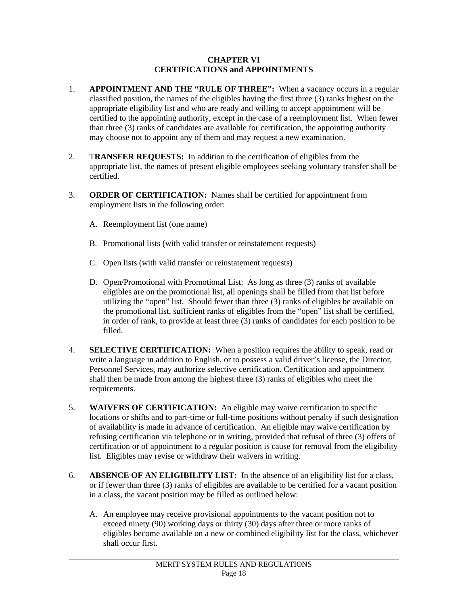#### **CHAPTER VI CERTIFICATIONS and APPOINTMENTS**

- 1. **APPOINTMENT AND THE "RULE OF THREE":** When a vacancy occurs in a regular classified position, the names of the eligibles having the first three (3) ranks highest on the appropriate eligibility list and who are ready and willing to accept appointment will be certified to the appointing authority, except in the case of a reemployment list. When fewer than three (3) ranks of candidates are available for certification, the appointing authority may choose not to appoint any of them and may request a new examination.
- 2. T**RANSFER REQUESTS:** In addition to the certification of eligibles from the appropriate list, the names of present eligible employees seeking voluntary transfer shall be certified.
- 3. **ORDER OF CERTIFICATION:** Names shall be certified for appointment from employment lists in the following order:
	- A. Reemployment list (one name)

- B. Promotional lists (with valid transfer or reinstatement requests)
- C. Open lists (with valid transfer or reinstatement requests)
- D. Open/Promotional with Promotional List: As long as three (3) ranks of available eligibles are on the promotional list, all openings shall be filled from that list before utilizing the "open" list. Should fewer than three (3) ranks of eligibles be available on the promotional list, sufficient ranks of eligibles from the "open" list shall be certified, in order of rank, to provide at least three (3) ranks of candidates for each position to be filled.
- 4. **SELECTIVE CERTIFICATION:** When a position requires the ability to speak, read or write a language in addition to English, or to possess a valid driver's license, the Director, Personnel Services, may authorize selective certification. Certification and appointment shall then be made from among the highest three (3) ranks of eligibles who meet the requirements.
- 5. **WAIVERS OF CERTIFICATION:** An eligible may waive certification to specific locations or shifts and to part-time or full-time positions without penalty if such designation of availability is made in advance of certification. An eligible may waive certification by refusing certification via telephone or in writing, provided that refusal of three (3) offers of certification or of appointment to a regular position is cause for removal from the eligibility list. Eligibles may revise or withdraw their waivers in writing.
- 6. **ABSENCE OF AN ELIGIBILITY LIST:** In the absence of an eligibility list for a class, or if fewer than three (3) ranks of eligibles are available to be certified for a vacant position in a class, the vacant position may be filled as outlined below:
	- A. An employee may receive provisional appointments to the vacant position not to exceed ninety (90) working days or thirty (30) days after three or more ranks of eligibles become available on a new or combined eligibility list for the class, whichever shall occur first.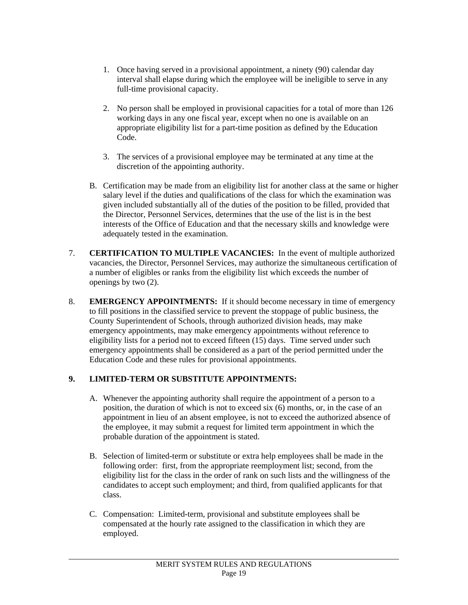- 1. Once having served in a provisional appointment, a ninety (90) calendar day interval shall elapse during which the employee will be ineligible to serve in any full-time provisional capacity.
- 2. No person shall be employed in provisional capacities for a total of more than 126 working days in any one fiscal year, except when no one is available on an appropriate eligibility list for a part-time position as defined by the Education Code.
- 3. The services of a provisional employee may be terminated at any time at the discretion of the appointing authority.
- B. Certification may be made from an eligibility list for another class at the same or higher salary level if the duties and qualifications of the class for which the examination was given included substantially all of the duties of the position to be filled, provided that the Director, Personnel Services, determines that the use of the list is in the best interests of the Office of Education and that the necessary skills and knowledge were adequately tested in the examination.
- 7. **CERTIFICATION TO MULTIPLE VACANCIES:** In the event of multiple authorized vacancies, the Director, Personnel Services, may authorize the simultaneous certification of a number of eligibles or ranks from the eligibility list which exceeds the number of openings by two (2).
- 8. **EMERGENCY APPOINTMENTS:** If it should become necessary in time of emergency to fill positions in the classified service to prevent the stoppage of public business, the County Superintendent of Schools, through authorized division heads, may make emergency appointments, may make emergency appointments without reference to eligibility lists for a period not to exceed fifteen (15) days. Time served under such emergency appointments shall be considered as a part of the period permitted under the Education Code and these rules for provisional appointments.

### **9. LIMITED-TERM OR SUBSTITUTE APPOINTMENTS:**

- A. Whenever the appointing authority shall require the appointment of a person to a position, the duration of which is not to exceed six (6) months, or, in the case of an appointment in lieu of an absent employee, is not to exceed the authorized absence of the employee, it may submit a request for limited term appointment in which the probable duration of the appointment is stated.
- B. Selection of limited-term or substitute or extra help employees shall be made in the following order: first, from the appropriate reemployment list; second, from the eligibility list for the class in the order of rank on such lists and the willingness of the candidates to accept such employment; and third, from qualified applicants for that class.
- C. Compensation: Limited-term, provisional and substitute employees shall be compensated at the hourly rate assigned to the classification in which they are employed.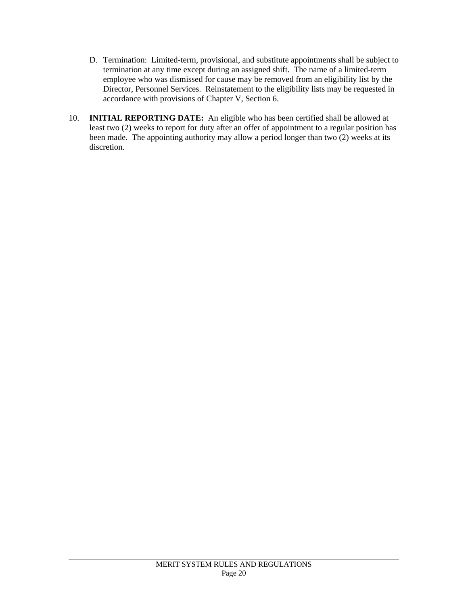- D. Termination: Limited-term, provisional, and substitute appointments shall be subject to termination at any time except during an assigned shift. The name of a limited-term employee who was dismissed for cause may be removed from an eligibility list by the Director, Personnel Services. Reinstatement to the eligibility lists may be requested in accordance with provisions of Chapter V, Section 6.
- 10. **INITIAL REPORTING DATE:** An eligible who has been certified shall be allowed at least two (2) weeks to report for duty after an offer of appointment to a regular position has been made. The appointing authority may allow a period longer than two (2) weeks at its discretion.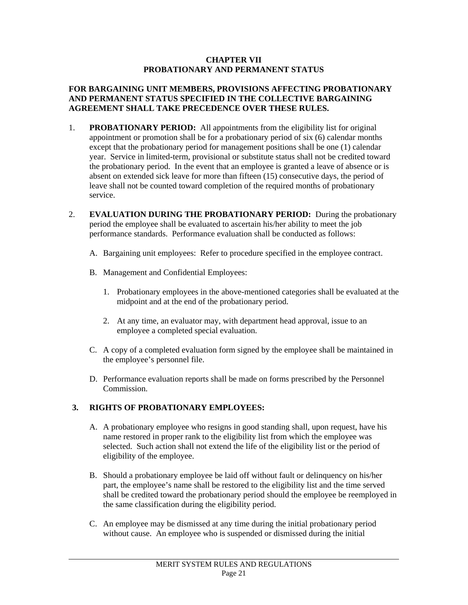#### **CHAPTER VII PROBATIONARY AND PERMANENT STATUS**

#### **FOR BARGAINING UNIT MEMBERS, PROVISIONS AFFECTING PROBATIONARY AND PERMANENT STATUS SPECIFIED IN THE COLLECTIVE BARGAINING AGREEMENT SHALL TAKE PRECEDENCE OVER THESE RULES.**

- 1. **PROBATIONARY PERIOD:** All appointments from the eligibility list for original appointment or promotion shall be for a probationary period of six (6) calendar months except that the probationary period for management positions shall be one (1) calendar year. Service in limited-term, provisional or substitute status shall not be credited toward the probationary period. In the event that an employee is granted a leave of absence or is absent on extended sick leave for more than fifteen (15) consecutive days, the period of leave shall not be counted toward completion of the required months of probationary service.
- 2. **EVALUATION DURING THE PROBATIONARY PERIOD:** During the probationary period the employee shall be evaluated to ascertain his/her ability to meet the job performance standards. Performance evaluation shall be conducted as follows:
	- A. Bargaining unit employees: Refer to procedure specified in the employee contract.
	- B. Management and Confidential Employees:
		- 1. Probationary employees in the above-mentioned categories shall be evaluated at the midpoint and at the end of the probationary period.
		- 2. At any time, an evaluator may, with department head approval, issue to an employee a completed special evaluation.
	- C. A copy of a completed evaluation form signed by the employee shall be maintained in the employee's personnel file.
	- D. Performance evaluation reports shall be made on forms prescribed by the Personnel Commission.

### **3. RIGHTS OF PROBATIONARY EMPLOYEES:**

- A. A probationary employee who resigns in good standing shall, upon request, have his name restored in proper rank to the eligibility list from which the employee was selected. Such action shall not extend the life of the eligibility list or the period of eligibility of the employee.
- B. Should a probationary employee be laid off without fault or delinquency on his/her part, the employee's name shall be restored to the eligibility list and the time served shall be credited toward the probationary period should the employee be reemployed in the same classification during the eligibility period.
- C. An employee may be dismissed at any time during the initial probationary period without cause. An employee who is suspended or dismissed during the initial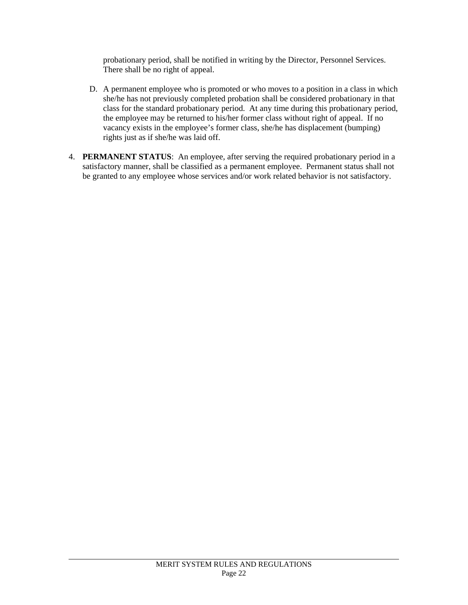probationary period, shall be notified in writing by the Director, Personnel Services. There shall be no right of appeal.

- D. A permanent employee who is promoted or who moves to a position in a class in which she/he has not previously completed probation shall be considered probationary in that class for the standard probationary period. At any time during this probationary period, the employee may be returned to his/her former class without right of appeal. If no vacancy exists in the employee's former class, she/he has displacement (bumping) rights just as if she/he was laid off.
- 4. **PERMANENT STATUS**: An employee, after serving the required probationary period in a satisfactory manner, shall be classified as a permanent employee. Permanent status shall not be granted to any employee whose services and/or work related behavior is not satisfactory.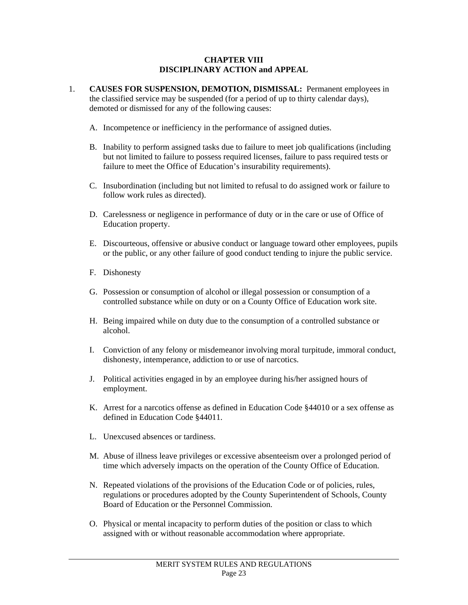#### **CHAPTER VIII DISCIPLINARY ACTION and APPEAL**

- 1. **CAUSES FOR SUSPENSION, DEMOTION, DISMISSAL:** Permanent employees in the classified service may be suspended (for a period of up to thirty calendar days), demoted or dismissed for any of the following causes:
	- A. Incompetence or inefficiency in the performance of assigned duties.
	- B. Inability to perform assigned tasks due to failure to meet job qualifications (including but not limited to failure to possess required licenses, failure to pass required tests or failure to meet the Office of Education's insurability requirements).
	- C. Insubordination (including but not limited to refusal to do assigned work or failure to follow work rules as directed).
	- D. Carelessness or negligence in performance of duty or in the care or use of Office of Education property.
	- E. Discourteous, offensive or abusive conduct or language toward other employees, pupils or the public, or any other failure of good conduct tending to injure the public service.
	- F. Dishonesty

- G. Possession or consumption of alcohol or illegal possession or consumption of a controlled substance while on duty or on a County Office of Education work site.
- H. Being impaired while on duty due to the consumption of a controlled substance or alcohol.
- I. Conviction of any felony or misdemeanor involving moral turpitude, immoral conduct, dishonesty, intemperance, addiction to or use of narcotics.
- J. Political activities engaged in by an employee during his/her assigned hours of employment.
- K. Arrest for a narcotics offense as defined in Education Code §44010 or a sex offense as defined in Education Code §44011.
- L. Unexcused absences or tardiness.
- M. Abuse of illness leave privileges or excessive absenteeism over a prolonged period of time which adversely impacts on the operation of the County Office of Education.
- N. Repeated violations of the provisions of the Education Code or of policies, rules, regulations or procedures adopted by the County Superintendent of Schools, County Board of Education or the Personnel Commission.
- O. Physical or mental incapacity to perform duties of the position or class to which assigned with or without reasonable accommodation where appropriate.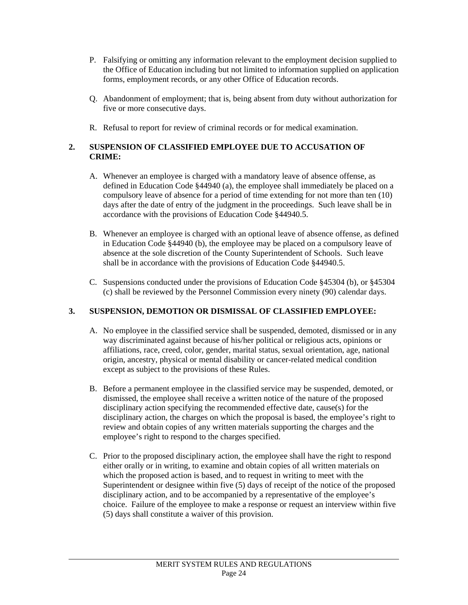- P. Falsifying or omitting any information relevant to the employment decision supplied to the Office of Education including but not limited to information supplied on application forms, employment records, or any other Office of Education records.
- Q. Abandonment of employment; that is, being absent from duty without authorization for five or more consecutive days.
- R. Refusal to report for review of criminal records or for medical examination.

# **2. SUSPENSION OF CLASSIFIED EMPLOYEE DUE TO ACCUSATION OF CRIME:**

- A. Whenever an employee is charged with a mandatory leave of absence offense, as defined in Education Code §44940 (a), the employee shall immediately be placed on a compulsory leave of absence for a period of time extending for not more than ten (10) days after the date of entry of the judgment in the proceedings. Such leave shall be in accordance with the provisions of Education Code §44940.5.
- B. Whenever an employee is charged with an optional leave of absence offense, as defined in Education Code §44940 (b), the employee may be placed on a compulsory leave of absence at the sole discretion of the County Superintendent of Schools. Such leave shall be in accordance with the provisions of Education Code §44940.5.
- C. Suspensions conducted under the provisions of Education Code §45304 (b), or §45304 (c) shall be reviewed by the Personnel Commission every ninety (90) calendar days.

# **3. SUSPENSION, DEMOTION OR DISMISSAL OF CLASSIFIED EMPLOYEE:**

- A. No employee in the classified service shall be suspended, demoted, dismissed or in any way discriminated against because of his/her political or religious acts, opinions or affiliations, race, creed, color, gender, marital status, sexual orientation, age, national origin, ancestry, physical or mental disability or cancer-related medical condition except as subject to the provisions of these Rules.
- B. Before a permanent employee in the classified service may be suspended, demoted, or dismissed, the employee shall receive a written notice of the nature of the proposed disciplinary action specifying the recommended effective date, cause(s) for the disciplinary action, the charges on which the proposal is based, the employee's right to review and obtain copies of any written materials supporting the charges and the employee's right to respond to the charges specified.
- C. Prior to the proposed disciplinary action, the employee shall have the right to respond either orally or in writing, to examine and obtain copies of all written materials on which the proposed action is based, and to request in writing to meet with the Superintendent or designee within five (5) days of receipt of the notice of the proposed disciplinary action, and to be accompanied by a representative of the employee's choice. Failure of the employee to make a response or request an interview within five (5) days shall constitute a waiver of this provision.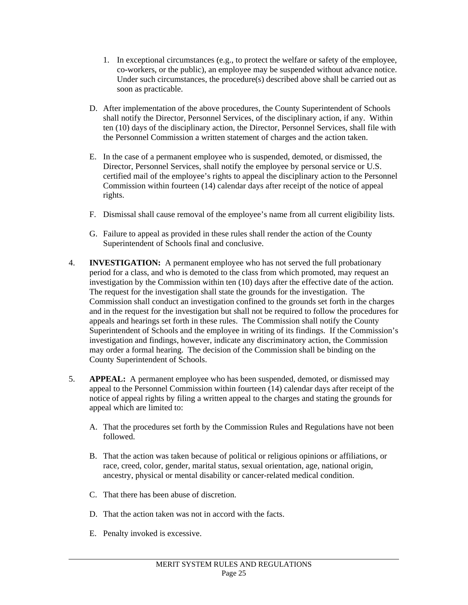- 1. In exceptional circumstances (e.g., to protect the welfare or safety of the employee, co-workers, or the public), an employee may be suspended without advance notice. Under such circumstances, the procedure(s) described above shall be carried out as soon as practicable.
- D. After implementation of the above procedures, the County Superintendent of Schools shall notify the Director, Personnel Services, of the disciplinary action, if any. Within ten (10) days of the disciplinary action, the Director, Personnel Services, shall file with the Personnel Commission a written statement of charges and the action taken.
- E. In the case of a permanent employee who is suspended, demoted, or dismissed, the Director, Personnel Services, shall notify the employee by personal service or U.S. certified mail of the employee's rights to appeal the disciplinary action to the Personnel Commission within fourteen (14) calendar days after receipt of the notice of appeal rights.
- F. Dismissal shall cause removal of the employee's name from all current eligibility lists.
- G. Failure to appeal as provided in these rules shall render the action of the County Superintendent of Schools final and conclusive.
- 4. **INVESTIGATION:** A permanent employee who has not served the full probationary period for a class, and who is demoted to the class from which promoted, may request an investigation by the Commission within ten (10) days after the effective date of the action. The request for the investigation shall state the grounds for the investigation. The Commission shall conduct an investigation confined to the grounds set forth in the charges and in the request for the investigation but shall not be required to follow the procedures for appeals and hearings set forth in these rules. The Commission shall notify the County Superintendent of Schools and the employee in writing of its findings. If the Commission's investigation and findings, however, indicate any discriminatory action, the Commission may order a formal hearing. The decision of the Commission shall be binding on the County Superintendent of Schools.
- 5. **APPEAL:** A permanent employee who has been suspended, demoted, or dismissed may appeal to the Personnel Commission within fourteen (14) calendar days after receipt of the notice of appeal rights by filing a written appeal to the charges and stating the grounds for appeal which are limited to:
	- A. That the procedures set forth by the Commission Rules and Regulations have not been followed.
	- B. That the action was taken because of political or religious opinions or affiliations, or race, creed, color, gender, marital status, sexual orientation, age, national origin, ancestry, physical or mental disability or cancer-related medical condition.
	- C. That there has been abuse of discretion.
	- D. That the action taken was not in accord with the facts.
	- E. Penalty invoked is excessive.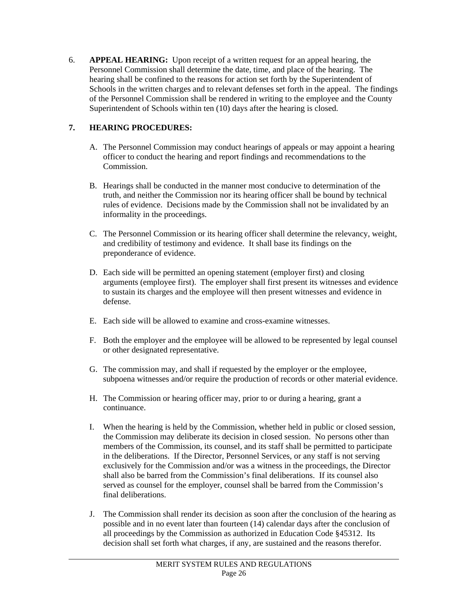6. **APPEAL HEARING:** Upon receipt of a written request for an appeal hearing, the Personnel Commission shall determine the date, time, and place of the hearing. The hearing shall be confined to the reasons for action set forth by the Superintendent of Schools in the written charges and to relevant defenses set forth in the appeal. The findings of the Personnel Commission shall be rendered in writing to the employee and the County Superintendent of Schools within ten (10) days after the hearing is closed.

# **7. HEARING PROCEDURES:**

- A. The Personnel Commission may conduct hearings of appeals or may appoint a hearing officer to conduct the hearing and report findings and recommendations to the Commission.
- B. Hearings shall be conducted in the manner most conducive to determination of the truth, and neither the Commission nor its hearing officer shall be bound by technical rules of evidence. Decisions made by the Commission shall not be invalidated by an informality in the proceedings.
- C. The Personnel Commission or its hearing officer shall determine the relevancy, weight, and credibility of testimony and evidence. It shall base its findings on the preponderance of evidence.
- D. Each side will be permitted an opening statement (employer first) and closing arguments (employee first). The employer shall first present its witnesses and evidence to sustain its charges and the employee will then present witnesses and evidence in defense.
- E. Each side will be allowed to examine and cross-examine witnesses.
- F. Both the employer and the employee will be allowed to be represented by legal counsel or other designated representative.
- G. The commission may, and shall if requested by the employer or the employee, subpoena witnesses and/or require the production of records or other material evidence.
- H. The Commission or hearing officer may, prior to or during a hearing, grant a continuance.
- I. When the hearing is held by the Commission, whether held in public or closed session, the Commission may deliberate its decision in closed session. No persons other than members of the Commission, its counsel, and its staff shall be permitted to participate in the deliberations. If the Director, Personnel Services, or any staff is not serving exclusively for the Commission and/or was a witness in the proceedings, the Director shall also be barred from the Commission's final deliberations. If its counsel also served as counsel for the employer, counsel shall be barred from the Commission's final deliberations.
- J. The Commission shall render its decision as soon after the conclusion of the hearing as possible and in no event later than fourteen (14) calendar days after the conclusion of all proceedings by the Commission as authorized in Education Code §45312. Its decision shall set forth what charges, if any, are sustained and the reasons therefor.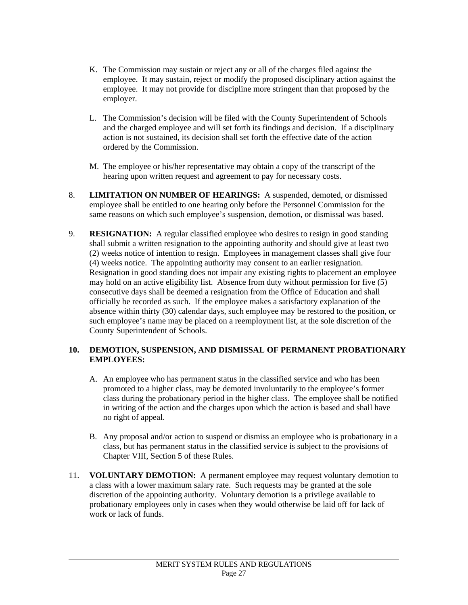- K. The Commission may sustain or reject any or all of the charges filed against the employee. It may sustain, reject or modify the proposed disciplinary action against the employee. It may not provide for discipline more stringent than that proposed by the employer.
- L. The Commission's decision will be filed with the County Superintendent of Schools and the charged employee and will set forth its findings and decision. If a disciplinary action is not sustained, its decision shall set forth the effective date of the action ordered by the Commission.
- M. The employee or his/her representative may obtain a copy of the transcript of the hearing upon written request and agreement to pay for necessary costs.
- 8. **LIMITATION ON NUMBER OF HEARINGS:** A suspended, demoted, or dismissed employee shall be entitled to one hearing only before the Personnel Commission for the same reasons on which such employee's suspension, demotion, or dismissal was based.
- 9. **RESIGNATION:** A regular classified employee who desires to resign in good standing shall submit a written resignation to the appointing authority and should give at least two (2) weeks notice of intention to resign. Employees in management classes shall give four (4) weeks notice. The appointing authority may consent to an earlier resignation. Resignation in good standing does not impair any existing rights to placement an employee may hold on an active eligibility list. Absence from duty without permission for five  $(5)$ consecutive days shall be deemed a resignation from the Office of Education and shall officially be recorded as such. If the employee makes a satisfactory explanation of the absence within thirty (30) calendar days, such employee may be restored to the position, or such employee's name may be placed on a reemployment list, at the sole discretion of the County Superintendent of Schools.

#### **10. DEMOTION, SUSPENSION, AND DISMISSAL OF PERMANENT PROBATIONARY EMPLOYEES:**

- A. An employee who has permanent status in the classified service and who has been promoted to a higher class, may be demoted involuntarily to the employee's former class during the probationary period in the higher class. The employee shall be notified in writing of the action and the charges upon which the action is based and shall have no right of appeal.
- B. Any proposal and/or action to suspend or dismiss an employee who is probationary in a class, but has permanent status in the classified service is subject to the provisions of Chapter VIII, Section 5 of these Rules.
- 11. **VOLUNTARY DEMOTION:** A permanent employee may request voluntary demotion to a class with a lower maximum salary rate. Such requests may be granted at the sole discretion of the appointing authority. Voluntary demotion is a privilege available to probationary employees only in cases when they would otherwise be laid off for lack of work or lack of funds.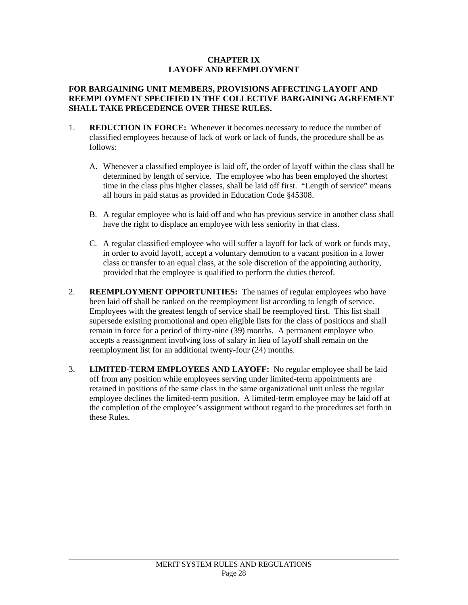#### **CHAPTER IX LAYOFF AND REEMPLOYMENT**

#### **FOR BARGAINING UNIT MEMBERS, PROVISIONS AFFECTING LAYOFF AND REEMPLOYMENT SPECIFIED IN THE COLLECTIVE BARGAINING AGREEMENT SHALL TAKE PRECEDENCE OVER THESE RULES.**

- 1. **REDUCTION IN FORCE:** Whenever it becomes necessary to reduce the number of classified employees because of lack of work or lack of funds, the procedure shall be as follows:
	- A. Whenever a classified employee is laid off, the order of layoff within the class shall be determined by length of service. The employee who has been employed the shortest time in the class plus higher classes, shall be laid off first. "Length of service" means all hours in paid status as provided in Education Code §45308.
	- B. A regular employee who is laid off and who has previous service in another class shall have the right to displace an employee with less seniority in that class.
	- C. A regular classified employee who will suffer a layoff for lack of work or funds may, in order to avoid layoff, accept a voluntary demotion to a vacant position in a lower class or transfer to an equal class, at the sole discretion of the appointing authority, provided that the employee is qualified to perform the duties thereof.
- 2. **REEMPLOYMENT OPPORTUNITIES:** The names of regular employees who have been laid off shall be ranked on the reemployment list according to length of service. Employees with the greatest length of service shall be reemployed first. This list shall supersede existing promotional and open eligible lists for the class of positions and shall remain in force for a period of thirty-nine (39) months. A permanent employee who accepts a reassignment involving loss of salary in lieu of layoff shall remain on the reemployment list for an additional twenty-four (24) months.
- 3. **LIMITED-TERM EMPLOYEES AND LAYOFF:** No regular employee shall be laid off from any position while employees serving under limited-term appointments are retained in positions of the same class in the same organizational unit unless the regular employee declines the limited-term position. A limited-term employee may be laid off at the completion of the employee's assignment without regard to the procedures set forth in these Rules.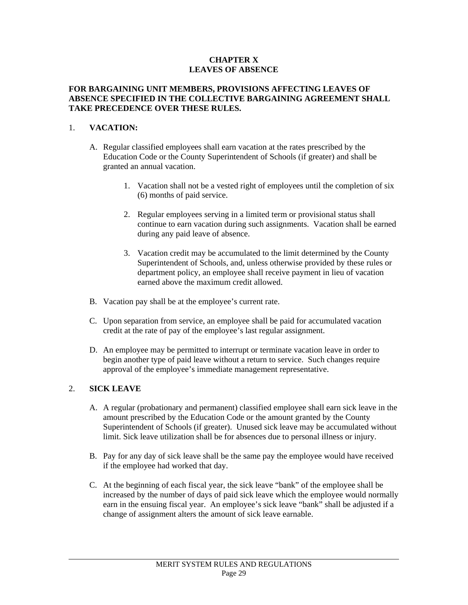#### **CHAPTER X LEAVES OF ABSENCE**

#### **FOR BARGAINING UNIT MEMBERS, PROVISIONS AFFECTING LEAVES OF ABSENCE SPECIFIED IN THE COLLECTIVE BARGAINING AGREEMENT SHALL TAKE PRECEDENCE OVER THESE RULES.**

# 1. **VACATION:**

- A. Regular classified employees shall earn vacation at the rates prescribed by the Education Code or the County Superintendent of Schools (if greater) and shall be granted an annual vacation.
	- 1. Vacation shall not be a vested right of employees until the completion of six (6) months of paid service.
	- 2. Regular employees serving in a limited term or provisional status shall continue to earn vacation during such assignments. Vacation shall be earned during any paid leave of absence.
	- 3. Vacation credit may be accumulated to the limit determined by the County Superintendent of Schools, and, unless otherwise provided by these rules or department policy, an employee shall receive payment in lieu of vacation earned above the maximum credit allowed.
- B. Vacation pay shall be at the employee's current rate.
- C. Upon separation from service, an employee shall be paid for accumulated vacation credit at the rate of pay of the employee's last regular assignment.
- D. An employee may be permitted to interrupt or terminate vacation leave in order to begin another type of paid leave without a return to service. Such changes require approval of the employee's immediate management representative.

# 2. **SICK LEAVE**

- A. A regular (probationary and permanent) classified employee shall earn sick leave in the amount prescribed by the Education Code or the amount granted by the County Superintendent of Schools (if greater). Unused sick leave may be accumulated without limit. Sick leave utilization shall be for absences due to personal illness or injury.
- B. Pay for any day of sick leave shall be the same pay the employee would have received if the employee had worked that day.
- C. At the beginning of each fiscal year, the sick leave "bank" of the employee shall be increased by the number of days of paid sick leave which the employee would normally earn in the ensuing fiscal year. An employee's sick leave "bank" shall be adjusted if a change of assignment alters the amount of sick leave earnable.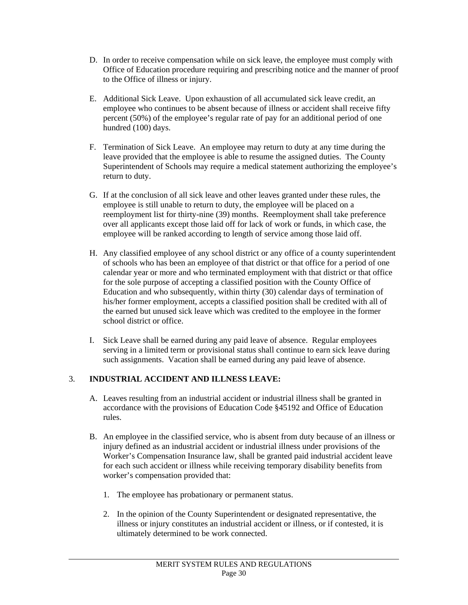- D. In order to receive compensation while on sick leave, the employee must comply with Office of Education procedure requiring and prescribing notice and the manner of proof to the Office of illness or injury.
- E. Additional Sick Leave. Upon exhaustion of all accumulated sick leave credit, an employee who continues to be absent because of illness or accident shall receive fifty percent (50%) of the employee's regular rate of pay for an additional period of one hundred (100) days.
- F. Termination of Sick Leave. An employee may return to duty at any time during the leave provided that the employee is able to resume the assigned duties. The County Superintendent of Schools may require a medical statement authorizing the employee's return to duty.
- G. If at the conclusion of all sick leave and other leaves granted under these rules, the employee is still unable to return to duty, the employee will be placed on a reemployment list for thirty-nine (39) months. Reemployment shall take preference over all applicants except those laid off for lack of work or funds, in which case, the employee will be ranked according to length of service among those laid off.
- H. Any classified employee of any school district or any office of a county superintendent of schools who has been an employee of that district or that office for a period of one calendar year or more and who terminated employment with that district or that office for the sole purpose of accepting a classified position with the County Office of Education and who subsequently, within thirty (30) calendar days of termination of his/her former employment, accepts a classified position shall be credited with all of the earned but unused sick leave which was credited to the employee in the former school district or office.
- I. Sick Leave shall be earned during any paid leave of absence. Regular employees serving in a limited term or provisional status shall continue to earn sick leave during such assignments. Vacation shall be earned during any paid leave of absence.

# 3. **INDUSTRIAL ACCIDENT AND ILLNESS LEAVE:**

- A. Leaves resulting from an industrial accident or industrial illness shall be granted in accordance with the provisions of Education Code §45192 and Office of Education rules.
- B. An employee in the classified service, who is absent from duty because of an illness or injury defined as an industrial accident or industrial illness under provisions of the Worker's Compensation Insurance law, shall be granted paid industrial accident leave for each such accident or illness while receiving temporary disability benefits from worker's compensation provided that:
	- 1. The employee has probationary or permanent status.
	- 2. In the opinion of the County Superintendent or designated representative, the illness or injury constitutes an industrial accident or illness, or if contested, it is ultimately determined to be work connected.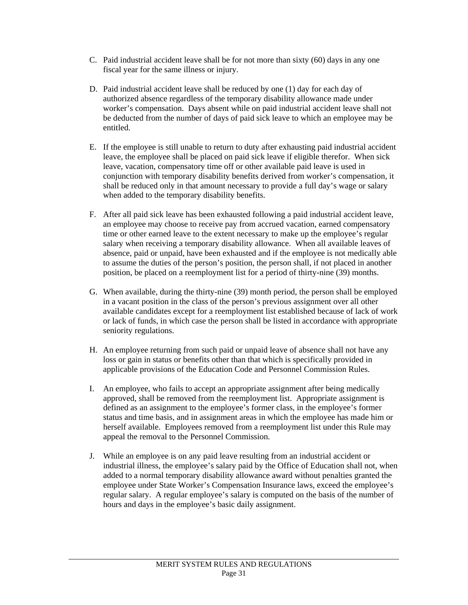- C. Paid industrial accident leave shall be for not more than sixty (60) days in any one fiscal year for the same illness or injury.
- D. Paid industrial accident leave shall be reduced by one (1) day for each day of authorized absence regardless of the temporary disability allowance made under worker's compensation. Days absent while on paid industrial accident leave shall not be deducted from the number of days of paid sick leave to which an employee may be entitled.
- E. If the employee is still unable to return to duty after exhausting paid industrial accident leave, the employee shall be placed on paid sick leave if eligible therefor. When sick leave, vacation, compensatory time off or other available paid leave is used in conjunction with temporary disability benefits derived from worker's compensation, it shall be reduced only in that amount necessary to provide a full day's wage or salary when added to the temporary disability benefits.
- F. After all paid sick leave has been exhausted following a paid industrial accident leave, an employee may choose to receive pay from accrued vacation, earned compensatory time or other earned leave to the extent necessary to make up the employee's regular salary when receiving a temporary disability allowance. When all available leaves of absence, paid or unpaid, have been exhausted and if the employee is not medically able to assume the duties of the person's position, the person shall, if not placed in another position, be placed on a reemployment list for a period of thirty-nine (39) months.
- G. When available, during the thirty-nine (39) month period, the person shall be employed in a vacant position in the class of the person's previous assignment over all other available candidates except for a reemployment list established because of lack of work or lack of funds, in which case the person shall be listed in accordance with appropriate seniority regulations.
- H. An employee returning from such paid or unpaid leave of absence shall not have any loss or gain in status or benefits other than that which is specifically provided in applicable provisions of the Education Code and Personnel Commission Rules.
- I. An employee, who fails to accept an appropriate assignment after being medically approved, shall be removed from the reemployment list. Appropriate assignment is defined as an assignment to the employee's former class, in the employee's former status and time basis, and in assignment areas in which the employee has made him or herself available. Employees removed from a reemployment list under this Rule may appeal the removal to the Personnel Commission.
- J. While an employee is on any paid leave resulting from an industrial accident or industrial illness, the employee's salary paid by the Office of Education shall not, when added to a normal temporary disability allowance award without penalties granted the employee under State Worker's Compensation Insurance laws, exceed the employee's regular salary. A regular employee's salary is computed on the basis of the number of hours and days in the employee's basic daily assignment.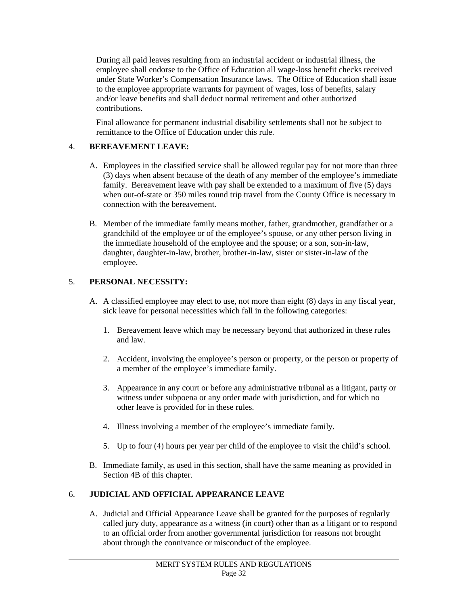During all paid leaves resulting from an industrial accident or industrial illness, the employee shall endorse to the Office of Education all wage-loss benefit checks received under State Worker's Compensation Insurance laws. The Office of Education shall issue to the employee appropriate warrants for payment of wages, loss of benefits, salary and/or leave benefits and shall deduct normal retirement and other authorized contributions.

Final allowance for permanent industrial disability settlements shall not be subject to remittance to the Office of Education under this rule.

# 4. **BEREAVEMENT LEAVE:**

- A. Employees in the classified service shall be allowed regular pay for not more than three (3) days when absent because of the death of any member of the employee's immediate family. Bereavement leave with pay shall be extended to a maximum of five (5) days when out-of-state or 350 miles round trip travel from the County Office is necessary in connection with the bereavement.
- B. Member of the immediate family means mother, father, grandmother, grandfather or a grandchild of the employee or of the employee's spouse, or any other person living in the immediate household of the employee and the spouse; or a son, son-in-law, daughter, daughter-in-law, brother, brother-in-law, sister or sister-in-law of the employee.

# 5. **PERSONAL NECESSITY:**

l

- A. A classified employee may elect to use, not more than eight (8) days in any fiscal year, sick leave for personal necessities which fall in the following categories:
	- 1. Bereavement leave which may be necessary beyond that authorized in these rules and law.
	- 2. Accident, involving the employee's person or property, or the person or property of a member of the employee's immediate family.
	- 3. Appearance in any court or before any administrative tribunal as a litigant, party or witness under subpoena or any order made with jurisdiction, and for which no other leave is provided for in these rules.
	- 4. Illness involving a member of the employee's immediate family.
	- 5. Up to four (4) hours per year per child of the employee to visit the child's school.
- B. Immediate family, as used in this section, shall have the same meaning as provided in Section 4B of this chapter.

# 6. **JUDICIAL AND OFFICIAL APPEARANCE LEAVE**

A. Judicial and Official Appearance Leave shall be granted for the purposes of regularly called jury duty, appearance as a witness (in court) other than as a litigant or to respond to an official order from another governmental jurisdiction for reasons not brought about through the connivance or misconduct of the employee.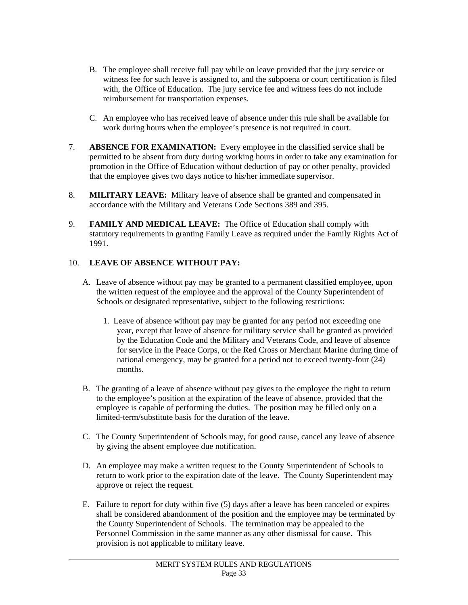- B. The employee shall receive full pay while on leave provided that the jury service or witness fee for such leave is assigned to, and the subpoena or court certification is filed with, the Office of Education. The jury service fee and witness fees do not include reimbursement for transportation expenses.
- C. An employee who has received leave of absence under this rule shall be available for work during hours when the employee's presence is not required in court.
- 7. **ABSENCE FOR EXAMINATION:** Every employee in the classified service shall be permitted to be absent from duty during working hours in order to take any examination for promotion in the Office of Education without deduction of pay or other penalty, provided that the employee gives two days notice to his/her immediate supervisor.
- 8. **MILITARY LEAVE:** Military leave of absence shall be granted and compensated in accordance with the Military and Veterans Code Sections 389 and 395.
- 9. **FAMILY AND MEDICAL LEAVE:** The Office of Education shall comply with statutory requirements in granting Family Leave as required under the Family Rights Act of 1991.

# 10. **LEAVE OF ABSENCE WITHOUT PAY:**

- A. Leave of absence without pay may be granted to a permanent classified employee, upon the written request of the employee and the approval of the County Superintendent of Schools or designated representative, subject to the following restrictions:
	- 1. Leave of absence without pay may be granted for any period not exceeding one year, except that leave of absence for military service shall be granted as provided by the Education Code and the Military and Veterans Code, and leave of absence for service in the Peace Corps, or the Red Cross or Merchant Marine during time of national emergency, may be granted for a period not to exceed twenty-four (24) months.
- B. The granting of a leave of absence without pay gives to the employee the right to return to the employee's position at the expiration of the leave of absence, provided that the employee is capable of performing the duties. The position may be filled only on a limited-term/substitute basis for the duration of the leave.
- C. The County Superintendent of Schools may, for good cause, cancel any leave of absence by giving the absent employee due notification.
- D. An employee may make a written request to the County Superintendent of Schools to return to work prior to the expiration date of the leave. The County Superintendent may approve or reject the request.
- E. Failure to report for duty within five (5) days after a leave has been canceled or expires shall be considered abandonment of the position and the employee may be terminated by the County Superintendent of Schools. The termination may be appealed to the Personnel Commission in the same manner as any other dismissal for cause. This provision is not applicable to military leave.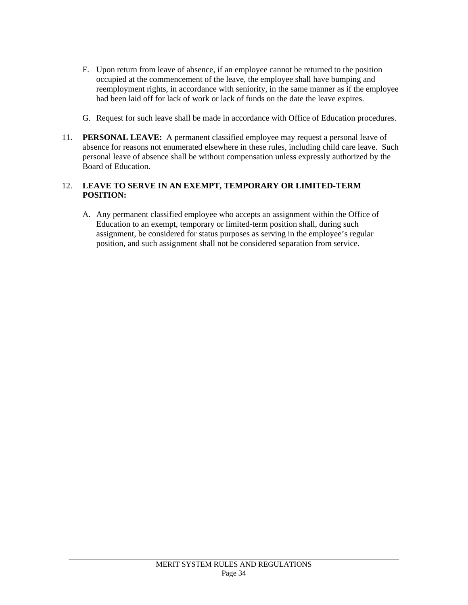- F. Upon return from leave of absence, if an employee cannot be returned to the position occupied at the commencement of the leave, the employee shall have bumping and reemployment rights, in accordance with seniority, in the same manner as if the employee had been laid off for lack of work or lack of funds on the date the leave expires.
- G. Request for such leave shall be made in accordance with Office of Education procedures.
- 11. **PERSONAL LEAVE:** A permanent classified employee may request a personal leave of absence for reasons not enumerated elsewhere in these rules, including child care leave. Such personal leave of absence shall be without compensation unless expressly authorized by the Board of Education.

### 12. **LEAVE TO SERVE IN AN EXEMPT, TEMPORARY OR LIMITED-TERM POSITION:**

A. Any permanent classified employee who accepts an assignment within the Office of Education to an exempt, temporary or limited-term position shall, during such assignment, be considered for status purposes as serving in the employee's regular position, and such assignment shall not be considered separation from service.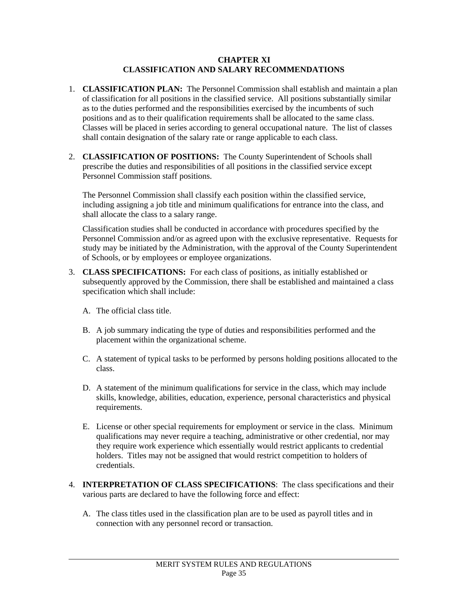#### **CHAPTER XI CLASSIFICATION AND SALARY RECOMMENDATIONS**

- 1. **CLASSIFICATION PLAN:** The Personnel Commission shall establish and maintain a plan of classification for all positions in the classified service. All positions substantially similar as to the duties performed and the responsibilities exercised by the incumbents of such positions and as to their qualification requirements shall be allocated to the same class. Classes will be placed in series according to general occupational nature. The list of classes shall contain designation of the salary rate or range applicable to each class.
- 2. **CLASSIFICATION OF POSITIONS:** The County Superintendent of Schools shall prescribe the duties and responsibilities of all positions in the classified service except Personnel Commission staff positions.

The Personnel Commission shall classify each position within the classified service, including assigning a job title and minimum qualifications for entrance into the class, and shall allocate the class to a salary range.

Classification studies shall be conducted in accordance with procedures specified by the Personnel Commission and/or as agreed upon with the exclusive representative. Requests for study may be initiated by the Administration, with the approval of the County Superintendent of Schools, or by employees or employee organizations.

- 3. **CLASS SPECIFICATIONS:** For each class of positions, as initially established or subsequently approved by the Commission, there shall be established and maintained a class specification which shall include:
	- A. The official class title.

- B. A job summary indicating the type of duties and responsibilities performed and the placement within the organizational scheme.
- C. A statement of typical tasks to be performed by persons holding positions allocated to the class.
- D. A statement of the minimum qualifications for service in the class, which may include skills, knowledge, abilities, education, experience, personal characteristics and physical requirements.
- E. License or other special requirements for employment or service in the class. Minimum qualifications may never require a teaching, administrative or other credential, nor may they require work experience which essentially would restrict applicants to credential holders. Titles may not be assigned that would restrict competition to holders of credentials.
- 4. **INTERPRETATION OF CLASS SPECIFICATIONS**: The class specifications and their various parts are declared to have the following force and effect:
	- A. The class titles used in the classification plan are to be used as payroll titles and in connection with any personnel record or transaction.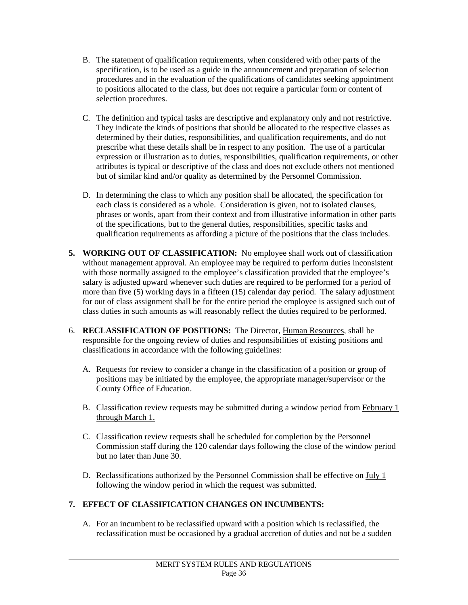- B. The statement of qualification requirements, when considered with other parts of the specification, is to be used as a guide in the announcement and preparation of selection procedures and in the evaluation of the qualifications of candidates seeking appointment to positions allocated to the class, but does not require a particular form or content of selection procedures.
- C. The definition and typical tasks are descriptive and explanatory only and not restrictive. They indicate the kinds of positions that should be allocated to the respective classes as determined by their duties, responsibilities, and qualification requirements, and do not prescribe what these details shall be in respect to any position. The use of a particular expression or illustration as to duties, responsibilities, qualification requirements, or other attributes is typical or descriptive of the class and does not exclude others not mentioned but of similar kind and/or quality as determined by the Personnel Commission.
- D. In determining the class to which any position shall be allocated, the specification for each class is considered as a whole. Consideration is given, not to isolated clauses, phrases or words, apart from their context and from illustrative information in other parts of the specifications, but to the general duties, responsibilities, specific tasks and qualification requirements as affording a picture of the positions that the class includes.
- **5. WORKING OUT OF CLASSIFICATION:** No employee shall work out of classification without management approval. An employee may be required to perform duties inconsistent with those normally assigned to the employee's classification provided that the employee's salary is adjusted upward whenever such duties are required to be performed for a period of more than five (5) working days in a fifteen (15) calendar day period. The salary adjustment for out of class assignment shall be for the entire period the employee is assigned such out of class duties in such amounts as will reasonably reflect the duties required to be performed.
- 6. **RECLASSIFICATION OF POSITIONS:** The Director, Human Resources, shall be responsible for the ongoing review of duties and responsibilities of existing positions and classifications in accordance with the following guidelines:
	- A. Requests for review to consider a change in the classification of a position or group of positions may be initiated by the employee, the appropriate manager/supervisor or the County Office of Education.
	- B. Classification review requests may be submitted during a window period from February 1 through March 1.
	- C. Classification review requests shall be scheduled for completion by the Personnel Commission staff during the 120 calendar days following the close of the window period but no later than June 30.
	- D. Reclassifications authorized by the Personnel Commission shall be effective on July 1 following the window period in which the request was submitted.

# **7. EFFECT OF CLASSIFICATION CHANGES ON INCUMBENTS:**

l

A. For an incumbent to be reclassified upward with a position which is reclassified, the reclassification must be occasioned by a gradual accretion of duties and not be a sudden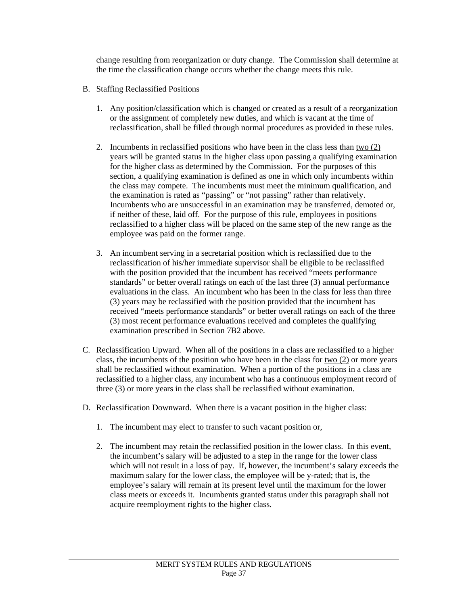change resulting from reorganization or duty change. The Commission shall determine at the time the classification change occurs whether the change meets this rule.

- B. Staffing Reclassified Positions
	- 1. Any position/classification which is changed or created as a result of a reorganization or the assignment of completely new duties, and which is vacant at the time of reclassification, shall be filled through normal procedures as provided in these rules.
	- 2. Incumbents in reclassified positions who have been in the class less than two (2) years will be granted status in the higher class upon passing a qualifying examination for the higher class as determined by the Commission. For the purposes of this section, a qualifying examination is defined as one in which only incumbents within the class may compete. The incumbents must meet the minimum qualification, and the examination is rated as "passing" or "not passing" rather than relatively. Incumbents who are unsuccessful in an examination may be transferred, demoted or, if neither of these, laid off. For the purpose of this rule, employees in positions reclassified to a higher class will be placed on the same step of the new range as the employee was paid on the former range.
	- 3. An incumbent serving in a secretarial position which is reclassified due to the reclassification of his/her immediate supervisor shall be eligible to be reclassified with the position provided that the incumbent has received "meets performance standards" or better overall ratings on each of the last three (3) annual performance evaluations in the class. An incumbent who has been in the class for less than three (3) years may be reclassified with the position provided that the incumbent has received "meets performance standards" or better overall ratings on each of the three (3) most recent performance evaluations received and completes the qualifying examination prescribed in Section 7B2 above.
- C. Reclassification Upward. When all of the positions in a class are reclassified to a higher class, the incumbents of the position who have been in the class for two (2) or more years shall be reclassified without examination. When a portion of the positions in a class are reclassified to a higher class, any incumbent who has a continuous employment record of three (3) or more years in the class shall be reclassified without examination.
- D. Reclassification Downward. When there is a vacant position in the higher class:
	- 1. The incumbent may elect to transfer to such vacant position or,

l

2. The incumbent may retain the reclassified position in the lower class. In this event, the incumbent's salary will be adjusted to a step in the range for the lower class which will not result in a loss of pay. If, however, the incumbent's salary exceeds the maximum salary for the lower class, the employee will be y-rated; that is, the employee's salary will remain at its present level until the maximum for the lower class meets or exceeds it. Incumbents granted status under this paragraph shall not acquire reemployment rights to the higher class.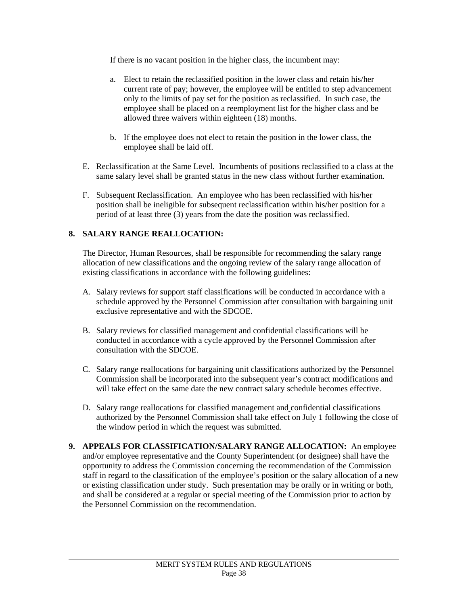If there is no vacant position in the higher class, the incumbent may:

- a. Elect to retain the reclassified position in the lower class and retain his/her current rate of pay; however, the employee will be entitled to step advancement only to the limits of pay set for the position as reclassified. In such case, the employee shall be placed on a reemployment list for the higher class and be allowed three waivers within eighteen (18) months.
- b. If the employee does not elect to retain the position in the lower class, the employee shall be laid off.
- E. Reclassification at the Same Level. Incumbents of positions reclassified to a class at the same salary level shall be granted status in the new class without further examination.
- F. Subsequent Reclassification. An employee who has been reclassified with his/her position shall be ineligible for subsequent reclassification within his/her position for a period of at least three (3) years from the date the position was reclassified.

# **8. SALARY RANGE REALLOCATION:**

l

 The Director, Human Resources, shall be responsible for recommending the salary range allocation of new classifications and the ongoing review of the salary range allocation of existing classifications in accordance with the following guidelines:

- A. Salary reviews for support staff classifications will be conducted in accordance with a schedule approved by the Personnel Commission after consultation with bargaining unit exclusive representative and with the SDCOE.
- B. Salary reviews for classified management and confidential classifications will be conducted in accordance with a cycle approved by the Personnel Commission after consultation with the SDCOE.
- C. Salary range reallocations for bargaining unit classifications authorized by the Personnel Commission shall be incorporated into the subsequent year's contract modifications and will take effect on the same date the new contract salary schedule becomes effective.
- D. Salary range reallocations for classified management and confidential classifications authorized by the Personnel Commission shall take effect on July 1 following the close of the window period in which the request was submitted.
- **9. APPEALS FOR CLASSIFICATION/SALARY RANGE ALLOCATION:** An employee and/or employee representative and the County Superintendent (or designee) shall have the opportunity to address the Commission concerning the recommendation of the Commission staff in regard to the classification of the employee's position or the salary allocation of a new or existing classification under study. Such presentation may be orally or in writing or both, and shall be considered at a regular or special meeting of the Commission prior to action by the Personnel Commission on the recommendation.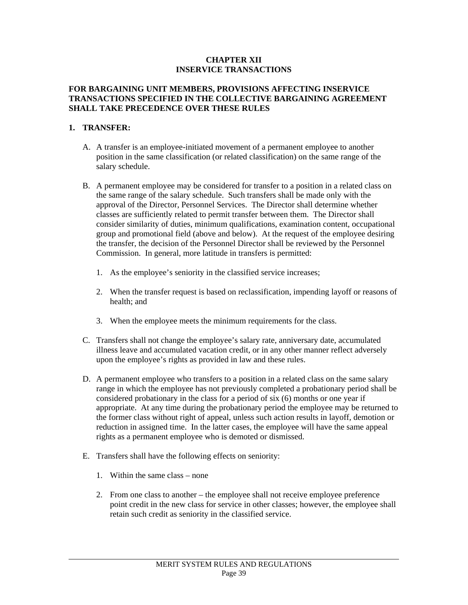#### **CHAPTER XII INSERVICE TRANSACTIONS**

#### **FOR BARGAINING UNIT MEMBERS, PROVISIONS AFFECTING INSERVICE TRANSACTIONS SPECIFIED IN THE COLLECTIVE BARGAINING AGREEMENT SHALL TAKE PRECEDENCE OVER THESE RULES**

#### **1. TRANSFER:**

- A. A transfer is an employee-initiated movement of a permanent employee to another position in the same classification (or related classification) on the same range of the salary schedule.
- B. A permanent employee may be considered for transfer to a position in a related class on the same range of the salary schedule. Such transfers shall be made only with the approval of the Director, Personnel Services. The Director shall determine whether classes are sufficiently related to permit transfer between them. The Director shall consider similarity of duties, minimum qualifications, examination content, occupational group and promotional field (above and below). At the request of the employee desiring the transfer, the decision of the Personnel Director shall be reviewed by the Personnel Commission. In general, more latitude in transfers is permitted:
	- 1. As the employee's seniority in the classified service increases;
	- 2. When the transfer request is based on reclassification, impending layoff or reasons of health; and
	- 3. When the employee meets the minimum requirements for the class.
- C. Transfers shall not change the employee's salary rate, anniversary date, accumulated illness leave and accumulated vacation credit, or in any other manner reflect adversely upon the employee's rights as provided in law and these rules.
- D. A permanent employee who transfers to a position in a related class on the same salary range in which the employee has not previously completed a probationary period shall be considered probationary in the class for a period of six (6) months or one year if appropriate. At any time during the probationary period the employee may be returned to the former class without right of appeal, unless such action results in layoff, demotion or reduction in assigned time. In the latter cases, the employee will have the same appeal rights as a permanent employee who is demoted or dismissed.
- E. Transfers shall have the following effects on seniority:
	- 1. Within the same class none

l

2. From one class to another – the employee shall not receive employee preference point credit in the new class for service in other classes; however, the employee shall retain such credit as seniority in the classified service.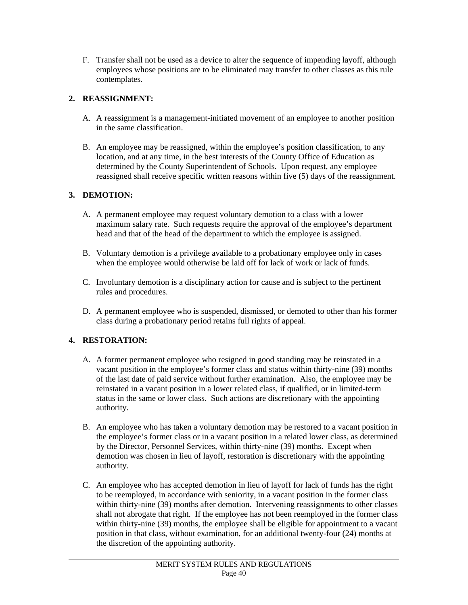F. Transfer shall not be used as a device to alter the sequence of impending layoff, although employees whose positions are to be eliminated may transfer to other classes as this rule contemplates.

# **2. REASSIGNMENT:**

- A. A reassignment is a management-initiated movement of an employee to another position in the same classification.
- B. An employee may be reassigned, within the employee's position classification, to any location, and at any time, in the best interests of the County Office of Education as determined by the County Superintendent of Schools. Upon request, any employee reassigned shall receive specific written reasons within five (5) days of the reassignment.

# **3. DEMOTION:**

- A. A permanent employee may request voluntary demotion to a class with a lower maximum salary rate. Such requests require the approval of the employee's department head and that of the head of the department to which the employee is assigned.
- B. Voluntary demotion is a privilege available to a probationary employee only in cases when the employee would otherwise be laid off for lack of work or lack of funds.
- C. Involuntary demotion is a disciplinary action for cause and is subject to the pertinent rules and procedures.
- D. A permanent employee who is suspended, dismissed, or demoted to other than his former class during a probationary period retains full rights of appeal.

# **4. RESTORATION:**

- A. A former permanent employee who resigned in good standing may be reinstated in a vacant position in the employee's former class and status within thirty-nine (39) months of the last date of paid service without further examination. Also, the employee may be reinstated in a vacant position in a lower related class, if qualified, or in limited-term status in the same or lower class. Such actions are discretionary with the appointing authority.
- B. An employee who has taken a voluntary demotion may be restored to a vacant position in the employee's former class or in a vacant position in a related lower class, as determined by the Director, Personnel Services, within thirty-nine (39) months. Except when demotion was chosen in lieu of layoff, restoration is discretionary with the appointing authority.
- C. An employee who has accepted demotion in lieu of layoff for lack of funds has the right to be reemployed, in accordance with seniority, in a vacant position in the former class within thirty-nine (39) months after demotion. Intervening reassignments to other classes shall not abrogate that right. If the employee has not been reemployed in the former class within thirty-nine (39) months, the employee shall be eligible for appointment to a vacant position in that class, without examination, for an additional twenty-four (24) months at the discretion of the appointing authority.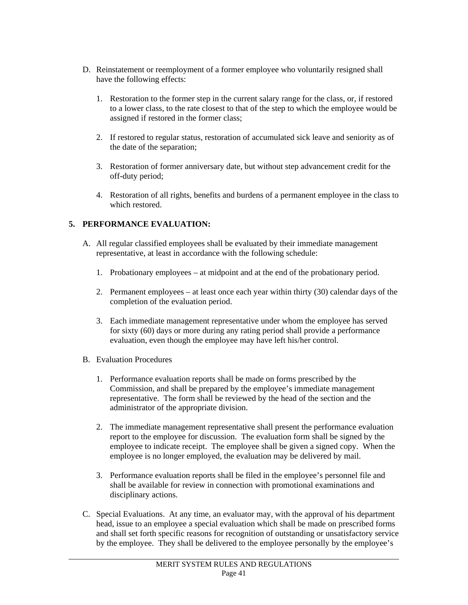- D. Reinstatement or reemployment of a former employee who voluntarily resigned shall have the following effects:
	- 1. Restoration to the former step in the current salary range for the class, or, if restored to a lower class, to the rate closest to that of the step to which the employee would be assigned if restored in the former class;
	- 2. If restored to regular status, restoration of accumulated sick leave and seniority as of the date of the separation;
	- 3. Restoration of former anniversary date, but without step advancement credit for the off-duty period;
	- 4. Restoration of all rights, benefits and burdens of a permanent employee in the class to which restored.

# **5. PERFORMANCE EVALUATION:**

- A. All regular classified employees shall be evaluated by their immediate management representative, at least in accordance with the following schedule:
	- 1. Probationary employees at midpoint and at the end of the probationary period.
	- 2. Permanent employees at least once each year within thirty (30) calendar days of the completion of the evaluation period.
	- 3. Each immediate management representative under whom the employee has served for sixty (60) days or more during any rating period shall provide a performance evaluation, even though the employee may have left his/her control.
- B. Evaluation Procedures

- 1. Performance evaluation reports shall be made on forms prescribed by the Commission, and shall be prepared by the employee's immediate management representative. The form shall be reviewed by the head of the section and the administrator of the appropriate division.
- 2. The immediate management representative shall present the performance evaluation report to the employee for discussion. The evaluation form shall be signed by the employee to indicate receipt. The employee shall be given a signed copy. When the employee is no longer employed, the evaluation may be delivered by mail.
- 3. Performance evaluation reports shall be filed in the employee's personnel file and shall be available for review in connection with promotional examinations and disciplinary actions.
- C. Special Evaluations. At any time, an evaluator may, with the approval of his department head, issue to an employee a special evaluation which shall be made on prescribed forms and shall set forth specific reasons for recognition of outstanding or unsatisfactory service by the employee. They shall be delivered to the employee personally by the employee's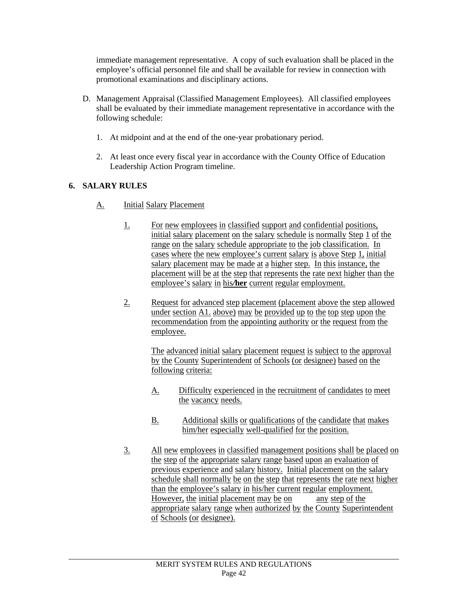immediate management representative. A copy of such evaluation shall be placed in the employee's official personnel file and shall be available for review in connection with promotional examinations and disciplinary actions.

- D. Management Appraisal (Classified Management Employees). All classified employees shall be evaluated by their immediate management representative in accordance with the following schedule:
	- 1. At midpoint and at the end of the one-year probationary period.
	- 2. At least once every fiscal year in accordance with the County Office of Education Leadership Action Program timeline.

# **6. SALARY RULES**

l

- A. Initial Salary Placement
	- 1. For new employees in classified support and confidential positions, initial salary placement on the salary schedule is normally Step 1 of the range on the salary schedule appropriate to the job classification. In cases where the new employee's current salary is above Step 1, initial salary placement may be made at a higher step. In this instance, the placement will be at the step that represents the rate next higher than the employee's salary in his*/***her** current regular employment.
	- 2. Request for advanced step placement (placement above the step allowed under section A1. above) may be provided up to the top step upon the recommendation from the appointing authority or the request from the employee.

The advanced initial salary placement request is subject to the approval by the County Superintendent of Schools (or designee) based on the following criteria:

- A. Difficulty experienced in the recruitment of candidates to meet the vacancy needs.
- B. Additional skills or qualifications of the candidate that makes him/her especially well-qualified for the position.
- 3. All new employees in classified management positions shall be placed on the step of the appropriate salary range based upon an evaluation of previous experience and salary history. Initial placement on the salary schedule shall normally be on the step that represents the rate next higher than the employee's salary in his/her current regular employment. However, the initial placement may be on any step of the appropriate salary range when authorized by the County Superintendent of Schools (or designee).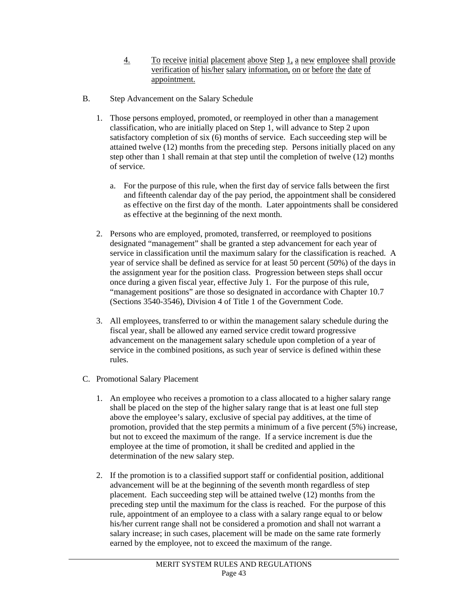- 4. To receive initial placement above Step 1, a new employee shall provide verification of his/her salary information, on or before the date of appointment.
- B. Step Advancement on the Salary Schedule
	- 1. Those persons employed, promoted, or reemployed in other than a management classification, who are initially placed on Step 1, will advance to Step 2 upon satisfactory completion of six (6) months of service. Each succeeding step will be attained twelve (12) months from the preceding step. Persons initially placed on any step other than 1 shall remain at that step until the completion of twelve (12) months of service.
		- a. For the purpose of this rule, when the first day of service falls between the first and fifteenth calendar day of the pay period, the appointment shall be considered as effective on the first day of the month. Later appointments shall be considered as effective at the beginning of the next month.
	- 2. Persons who are employed, promoted, transferred, or reemployed to positions designated "management" shall be granted a step advancement for each year of service in classification until the maximum salary for the classification is reached. A year of service shall be defined as service for at least 50 percent (50%) of the days in the assignment year for the position class. Progression between steps shall occur once during a given fiscal year, effective July 1. For the purpose of this rule, "management positions" are those so designated in accordance with Chapter 10.7 (Sections 3540-3546), Division 4 of Title 1 of the Government Code.
	- 3. All employees, transferred to or within the management salary schedule during the fiscal year, shall be allowed any earned service credit toward progressive advancement on the management salary schedule upon completion of a year of service in the combined positions, as such year of service is defined within these rules.
- C. Promotional Salary Placement

- 1. An employee who receives a promotion to a class allocated to a higher salary range shall be placed on the step of the higher salary range that is at least one full step above the employee's salary, exclusive of special pay additives, at the time of promotion, provided that the step permits a minimum of a five percent (5%) increase, but not to exceed the maximum of the range. If a service increment is due the employee at the time of promotion, it shall be credited and applied in the determination of the new salary step.
- 2. If the promotion is to a classified support staff or confidential position, additional advancement will be at the beginning of the seventh month regardless of step placement. Each succeeding step will be attained twelve (12) months from the preceding step until the maximum for the class is reached. For the purpose of this rule, appointment of an employee to a class with a salary range equal to or below his/her current range shall not be considered a promotion and shall not warrant a salary increase; in such cases, placement will be made on the same rate formerly earned by the employee, not to exceed the maximum of the range.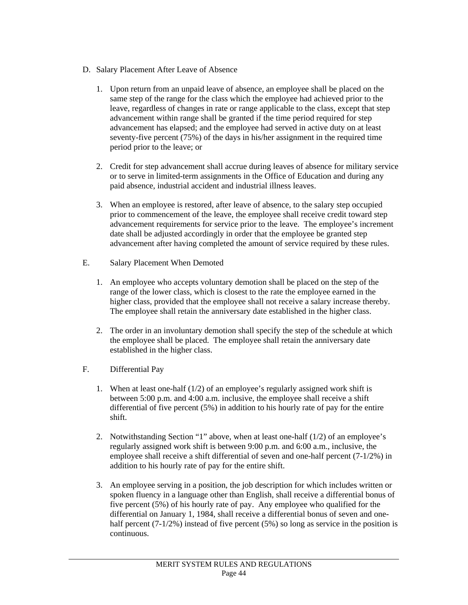- D. Salary Placement After Leave of Absence
	- 1. Upon return from an unpaid leave of absence, an employee shall be placed on the same step of the range for the class which the employee had achieved prior to the leave, regardless of changes in rate or range applicable to the class, except that step advancement within range shall be granted if the time period required for step advancement has elapsed; and the employee had served in active duty on at least seventy-five percent (75%) of the days in his/her assignment in the required time period prior to the leave; or
	- 2. Credit for step advancement shall accrue during leaves of absence for military service or to serve in limited-term assignments in the Office of Education and during any paid absence, industrial accident and industrial illness leaves.
	- 3. When an employee is restored, after leave of absence, to the salary step occupied prior to commencement of the leave, the employee shall receive credit toward step advancement requirements for service prior to the leave. The employee's increment date shall be adjusted accordingly in order that the employee be granted step advancement after having completed the amount of service required by these rules.
- E. Salary Placement When Demoted
	- 1. An employee who accepts voluntary demotion shall be placed on the step of the range of the lower class, which is closest to the rate the employee earned in the higher class, provided that the employee shall not receive a salary increase thereby. The employee shall retain the anniversary date established in the higher class.
	- 2. The order in an involuntary demotion shall specify the step of the schedule at which the employee shall be placed. The employee shall retain the anniversary date established in the higher class.
- F. Differential Pay

- 1. When at least one-half (1/2) of an employee's regularly assigned work shift is between 5:00 p.m. and 4:00 a.m. inclusive, the employee shall receive a shift differential of five percent (5%) in addition to his hourly rate of pay for the entire shift.
- 2. Notwithstanding Section "1" above, when at least one-half (1/2) of an employee's regularly assigned work shift is between 9:00 p.m. and 6:00 a.m., inclusive, the employee shall receive a shift differential of seven and one-half percent (7-1/2%) in addition to his hourly rate of pay for the entire shift.
- 3. An employee serving in a position, the job description for which includes written or spoken fluency in a language other than English, shall receive a differential bonus of five percent (5%) of his hourly rate of pay. Any employee who qualified for the differential on January 1, 1984, shall receive a differential bonus of seven and onehalf percent  $(7-1/2%)$  instead of five percent (5%) so long as service in the position is continuous.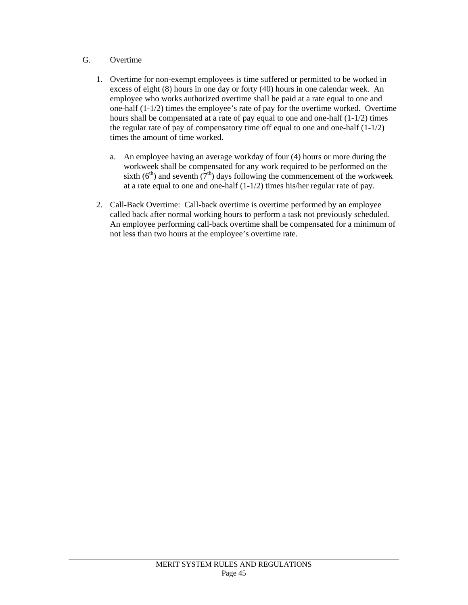# G. Overtime

- 1. Overtime for non-exempt employees is time suffered or permitted to be worked in excess of eight (8) hours in one day or forty (40) hours in one calendar week. An employee who works authorized overtime shall be paid at a rate equal to one and one-half  $(1-1/2)$  times the employee's rate of pay for the overtime worked. Overtime hours shall be compensated at a rate of pay equal to one and one-half (1-1/2) times the regular rate of pay of compensatory time off equal to one and one-half (1-1/2) times the amount of time worked.
	- a. An employee having an average workday of four (4) hours or more during the workweek shall be compensated for any work required to be performed on the sixth ( $6<sup>th</sup>$ ) and seventh ( $7<sup>th</sup>$ ) days following the commencement of the workweek at a rate equal to one and one-half  $(1-1/2)$  times his/her regular rate of pay.
- 2. Call-Back Overtime: Call-back overtime is overtime performed by an employee called back after normal working hours to perform a task not previously scheduled. An employee performing call-back overtime shall be compensated for a minimum of not less than two hours at the employee's overtime rate.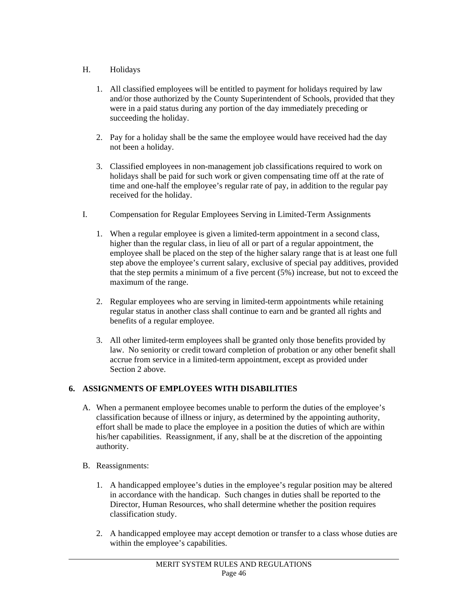# H. Holidays

- 1. All classified employees will be entitled to payment for holidays required by law and/or those authorized by the County Superintendent of Schools, provided that they were in a paid status during any portion of the day immediately preceding or succeeding the holiday.
- 2. Pay for a holiday shall be the same the employee would have received had the day not been a holiday.
- 3. Classified employees in non-management job classifications required to work on holidays shall be paid for such work or given compensating time off at the rate of time and one-half the employee's regular rate of pay, in addition to the regular pay received for the holiday.
- I. Compensation for Regular Employees Serving in Limited-Term Assignments
	- 1. When a regular employee is given a limited-term appointment in a second class, higher than the regular class, in lieu of all or part of a regular appointment, the employee shall be placed on the step of the higher salary range that is at least one full step above the employee's current salary, exclusive of special pay additives, provided that the step permits a minimum of a five percent (5%) increase, but not to exceed the maximum of the range.
	- 2. Regular employees who are serving in limited-term appointments while retaining regular status in another class shall continue to earn and be granted all rights and benefits of a regular employee.
	- 3. All other limited-term employees shall be granted only those benefits provided by law. No seniority or credit toward completion of probation or any other benefit shall accrue from service in a limited-term appointment, except as provided under Section 2 above.

# **6. ASSIGNMENTS OF EMPLOYEES WITH DISABILITIES**

- A. When a permanent employee becomes unable to perform the duties of the employee's classification because of illness or injury, as determined by the appointing authority, effort shall be made to place the employee in a position the duties of which are within his/her capabilities. Reassignment, if any, shall be at the discretion of the appointing authority.
- B. Reassignments:

- 1. A handicapped employee's duties in the employee's regular position may be altered in accordance with the handicap. Such changes in duties shall be reported to the Director, Human Resources, who shall determine whether the position requires classification study.
- 2. A handicapped employee may accept demotion or transfer to a class whose duties are within the employee's capabilities.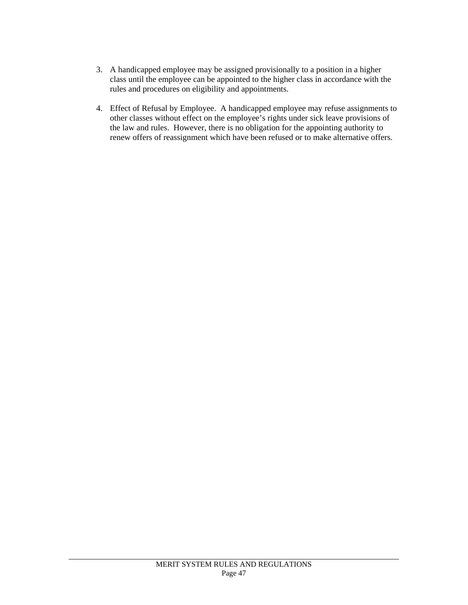- 3. A handicapped employee may be assigned provisionally to a position in a higher class until the employee can be appointed to the higher class in accordance with the rules and procedures on eligibility and appointments.
- 4. Effect of Refusal by Employee. A handicapped employee may refuse assignments to other classes without effect on the employee's rights under sick leave provisions of the law and rules. However, there is no obligation for the appointing authority to renew offers of reassignment which have been refused or to make alternative offers.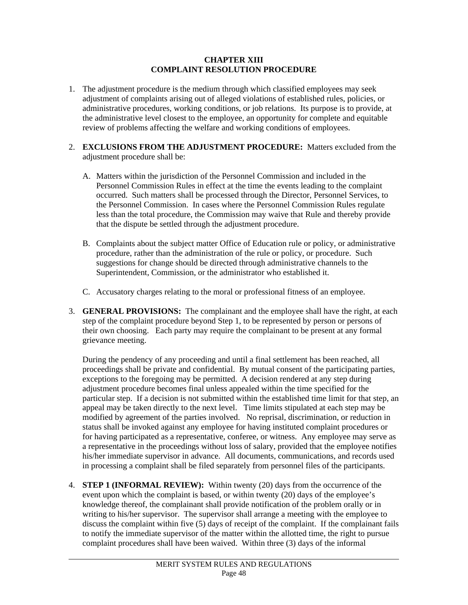#### **CHAPTER XIII COMPLAINT RESOLUTION PROCEDURE**

- 1. The adjustment procedure is the medium through which classified employees may seek adjustment of complaints arising out of alleged violations of established rules, policies, or administrative procedures, working conditions, or job relations. Its purpose is to provide, at the administrative level closest to the employee, an opportunity for complete and equitable review of problems affecting the welfare and working conditions of employees.
- 2. **EXCLUSIONS FROM THE ADJUSTMENT PROCEDURE:** Matters excluded from the adjustment procedure shall be:
	- A. Matters within the jurisdiction of the Personnel Commission and included in the Personnel Commission Rules in effect at the time the events leading to the complaint occurred. Such matters shall be processed through the Director, Personnel Services, to the Personnel Commission. In cases where the Personnel Commission Rules regulate less than the total procedure, the Commission may waive that Rule and thereby provide that the dispute be settled through the adjustment procedure.
	- B. Complaints about the subject matter Office of Education rule or policy, or administrative procedure, rather than the administration of the rule or policy, or procedure. Such suggestions for change should be directed through administrative channels to the Superintendent, Commission, or the administrator who established it.
	- C. Accusatory charges relating to the moral or professional fitness of an employee.
- 3. **GENERAL PROVISIONS:** The complainant and the employee shall have the right, at each step of the complaint procedure beyond Step 1, to be represented by person or persons of their own choosing. Each party may require the complainant to be present at any formal grievance meeting.

During the pendency of any proceeding and until a final settlement has been reached, all proceedings shall be private and confidential. By mutual consent of the participating parties, exceptions to the foregoing may be permitted. A decision rendered at any step during adjustment procedure becomes final unless appealed within the time specified for the particular step. If a decision is not submitted within the established time limit for that step, an appeal may be taken directly to the next level. Time limits stipulated at each step may be modified by agreement of the parties involved. No reprisal, discrimination, or reduction in status shall be invoked against any employee for having instituted complaint procedures or for having participated as a representative, conferee, or witness. Any employee may serve as a representative in the proceedings without loss of salary, provided that the employee notifies his/her immediate supervisor in advance. All documents, communications, and records used in processing a complaint shall be filed separately from personnel files of the participants.

4. **STEP 1 (INFORMAL REVIEW):** Within twenty (20) days from the occurrence of the event upon which the complaint is based, or within twenty (20) days of the employee's knowledge thereof, the complainant shall provide notification of the problem orally or in writing to his/her supervisor. The supervisor shall arrange a meeting with the employee to discuss the complaint within five (5) days of receipt of the complaint. If the complainant fails to notify the immediate supervisor of the matter within the allotted time, the right to pursue complaint procedures shall have been waived. Within three (3) days of the informal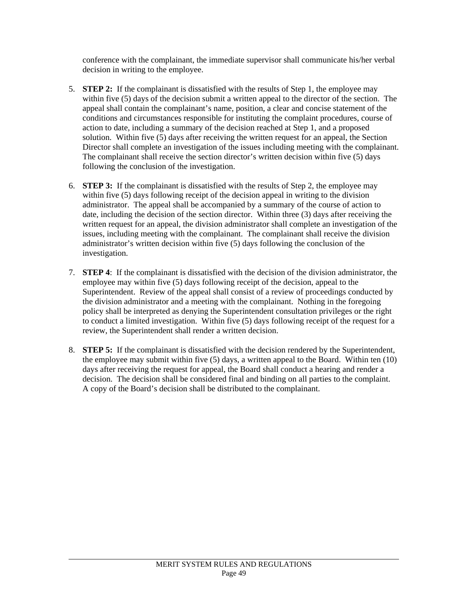conference with the complainant, the immediate supervisor shall communicate his/her verbal decision in writing to the employee.

- 5. **STEP 2:** If the complainant is dissatisfied with the results of Step 1, the employee may within five (5) days of the decision submit a written appeal to the director of the section. The appeal shall contain the complainant's name, position, a clear and concise statement of the conditions and circumstances responsible for instituting the complaint procedures, course of action to date, including a summary of the decision reached at Step 1, and a proposed solution. Within five (5) days after receiving the written request for an appeal, the Section Director shall complete an investigation of the issues including meeting with the complainant. The complainant shall receive the section director's written decision within five (5) days following the conclusion of the investigation.
- 6. **STEP 3:** If the complainant is dissatisfied with the results of Step 2, the employee may within five (5) days following receipt of the decision appeal in writing to the division administrator. The appeal shall be accompanied by a summary of the course of action to date, including the decision of the section director. Within three (3) days after receiving the written request for an appeal, the division administrator shall complete an investigation of the issues, including meeting with the complainant. The complainant shall receive the division administrator's written decision within five (5) days following the conclusion of the investigation.
- 7. **STEP 4**: If the complainant is dissatisfied with the decision of the division administrator, the employee may within five (5) days following receipt of the decision, appeal to the Superintendent. Review of the appeal shall consist of a review of proceedings conducted by the division administrator and a meeting with the complainant. Nothing in the foregoing policy shall be interpreted as denying the Superintendent consultation privileges or the right to conduct a limited investigation. Within five (5) days following receipt of the request for a review, the Superintendent shall render a written decision.
- 8. **STEP 5:** If the complainant is dissatisfied with the decision rendered by the Superintendent, the employee may submit within five (5) days, a written appeal to the Board. Within ten (10) days after receiving the request for appeal, the Board shall conduct a hearing and render a decision. The decision shall be considered final and binding on all parties to the complaint. A copy of the Board's decision shall be distributed to the complainant.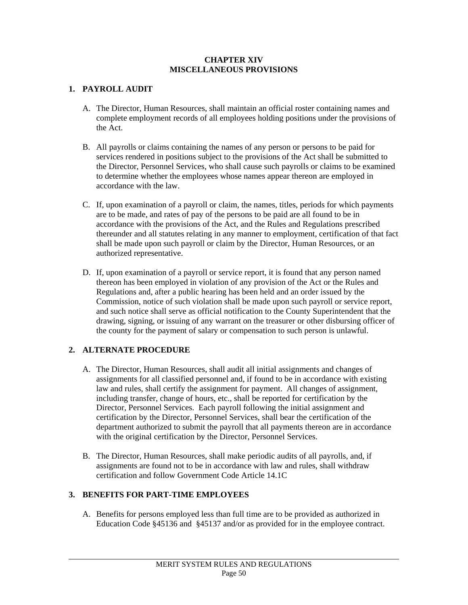#### **CHAPTER XIV MISCELLANEOUS PROVISIONS**

# **1. PAYROLL AUDIT**

- A. The Director, Human Resources, shall maintain an official roster containing names and complete employment records of all employees holding positions under the provisions of the Act.
- B. All payrolls or claims containing the names of any person or persons to be paid for services rendered in positions subject to the provisions of the Act shall be submitted to the Director, Personnel Services, who shall cause such payrolls or claims to be examined to determine whether the employees whose names appear thereon are employed in accordance with the law.
- C. If, upon examination of a payroll or claim, the names, titles, periods for which payments are to be made, and rates of pay of the persons to be paid are all found to be in accordance with the provisions of the Act, and the Rules and Regulations prescribed thereunder and all statutes relating in any manner to employment, certification of that fact shall be made upon such payroll or claim by the Director, Human Resources, or an authorized representative.
- D. If, upon examination of a payroll or service report, it is found that any person named thereon has been employed in violation of any provision of the Act or the Rules and Regulations and, after a public hearing has been held and an order issued by the Commission, notice of such violation shall be made upon such payroll or service report, and such notice shall serve as official notification to the County Superintendent that the drawing, signing, or issuing of any warrant on the treasurer or other disbursing officer of the county for the payment of salary or compensation to such person is unlawful.

### **2. ALTERNATE PROCEDURE**

l

- A. The Director, Human Resources, shall audit all initial assignments and changes of assignments for all classified personnel and, if found to be in accordance with existing law and rules, shall certify the assignment for payment. All changes of assignment, including transfer, change of hours, etc., shall be reported for certification by the Director, Personnel Services. Each payroll following the initial assignment and certification by the Director, Personnel Services, shall bear the certification of the department authorized to submit the payroll that all payments thereon are in accordance with the original certification by the Director, Personnel Services.
- B. The Director, Human Resources, shall make periodic audits of all payrolls, and, if assignments are found not to be in accordance with law and rules, shall withdraw certification and follow Government Code Article 14.1C

### **3. BENEFITS FOR PART-TIME EMPLOYEES**

A. Benefits for persons employed less than full time are to be provided as authorized in Education Code §45136 and §45137 and/or as provided for in the employee contract.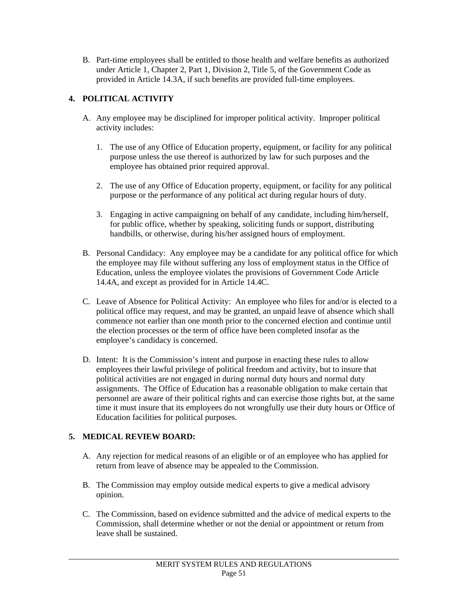B. Part-time employees shall be entitled to those health and welfare benefits as authorized under Article 1, Chapter 2, Part 1, Division 2, Title 5, of the Government Code as provided in Article 14.3A, if such benefits are provided full-time employees.

# **4. POLITICAL ACTIVITY**

- A. Any employee may be disciplined for improper political activity. Improper political activity includes:
	- 1. The use of any Office of Education property, equipment, or facility for any political purpose unless the use thereof is authorized by law for such purposes and the employee has obtained prior required approval.
	- 2. The use of any Office of Education property, equipment, or facility for any political purpose or the performance of any political act during regular hours of duty.
	- 3. Engaging in active campaigning on behalf of any candidate, including him/herself, for public office, whether by speaking, soliciting funds or support, distributing handbills, or otherwise, during his/her assigned hours of employment.
- B. Personal Candidacy: Any employee may be a candidate for any political office for which the employee may file without suffering any loss of employment status in the Office of Education, unless the employee violates the provisions of Government Code Article 14.4A, and except as provided for in Article 14.4C.
- C. Leave of Absence for Political Activity: An employee who files for and/or is elected to a political office may request, and may be granted, an unpaid leave of absence which shall commence not earlier than one month prior to the concerned election and continue until the election processes or the term of office have been completed insofar as the employee's candidacy is concerned.
- D. Intent: It is the Commission's intent and purpose in enacting these rules to allow employees their lawful privilege of political freedom and activity, but to insure that political activities are not engaged in during normal duty hours and normal duty assignments. The Office of Education has a reasonable obligation to make certain that personnel are aware of their political rights and can exercise those rights but, at the same time it must insure that its employees do not wrongfully use their duty hours or Office of Education facilities for political purposes.

# **5. MEDICAL REVIEW BOARD:**

- A. Any rejection for medical reasons of an eligible or of an employee who has applied for return from leave of absence may be appealed to the Commission.
- B. The Commission may employ outside medical experts to give a medical advisory opinion.
- C. The Commission, based on evidence submitted and the advice of medical experts to the Commission, shall determine whether or not the denial or appointment or return from leave shall be sustained.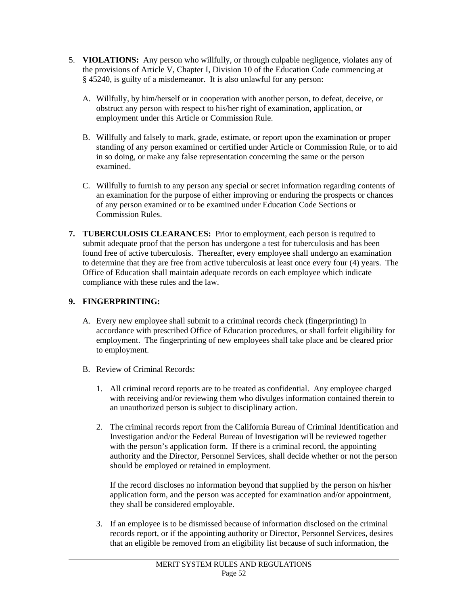- 5. **VIOLATIONS:** Any person who willfully, or through culpable negligence, violates any of the provisions of Article V, Chapter I, Division 10 of the Education Code commencing at § 45240, is guilty of a misdemeanor. It is also unlawful for any person:
	- A. Willfully, by him/herself or in cooperation with another person, to defeat, deceive, or obstruct any person with respect to his/her right of examination, application, or employment under this Article or Commission Rule.
	- B. Willfully and falsely to mark, grade, estimate, or report upon the examination or proper standing of any person examined or certified under Article or Commission Rule, or to aid in so doing, or make any false representation concerning the same or the person examined.
	- C. Willfully to furnish to any person any special or secret information regarding contents of an examination for the purpose of either improving or enduring the prospects or chances of any person examined or to be examined under Education Code Sections or Commission Rules.
- **7. TUBERCULOSIS CLEARANCES:** Prior to employment, each person is required to submit adequate proof that the person has undergone a test for tuberculosis and has been found free of active tuberculosis. Thereafter, every employee shall undergo an examination to determine that they are free from active tuberculosis at least once every four (4) years. The Office of Education shall maintain adequate records on each employee which indicate compliance with these rules and the law.

# **9. FINGERPRINTING:**

l

- A. Every new employee shall submit to a criminal records check (fingerprinting) in accordance with prescribed Office of Education procedures, or shall forfeit eligibility for employment. The fingerprinting of new employees shall take place and be cleared prior to employment.
- B. Review of Criminal Records:
	- 1. All criminal record reports are to be treated as confidential. Any employee charged with receiving and/or reviewing them who divulges information contained therein to an unauthorized person is subject to disciplinary action.
	- 2. The criminal records report from the California Bureau of Criminal Identification and Investigation and/or the Federal Bureau of Investigation will be reviewed together with the person's application form. If there is a criminal record, the appointing authority and the Director, Personnel Services, shall decide whether or not the person should be employed or retained in employment.

If the record discloses no information beyond that supplied by the person on his/her application form, and the person was accepted for examination and/or appointment, they shall be considered employable.

3. If an employee is to be dismissed because of information disclosed on the criminal records report, or if the appointing authority or Director, Personnel Services, desires that an eligible be removed from an eligibility list because of such information, the